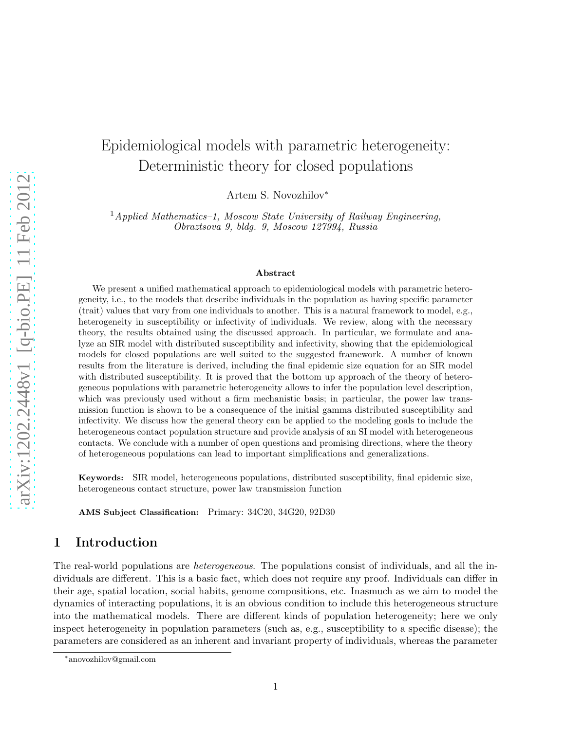# Epidemiological models with parametric heterogeneity: Deterministic theory for closed populations

Artem S. Novozhilov<sup>∗</sup>

<sup>1</sup>Applied Mathematics–1, Moscow State University of Railway Engineering, Obraztsova 9, bldg. 9, Moscow 127994, Russia

#### Abstract

We present a unified mathematical approach to epidemiological models with parametric heterogeneity, i.e., to the models that describe individuals in the population as having specific parameter (trait) values that vary from one individuals to another. This is a natural framework to model, e.g., heterogeneity in susceptibility or infectivity of individuals. We review, along with the necessary theory, the results obtained using the discussed approach. In particular, we formulate and analyze an SIR model with distributed susceptibility and infectivity, showing that the epidemiological models for closed populations are well suited to the suggested framework. A number of known results from the literature is derived, including the final epidemic size equation for an SIR model with distributed susceptibility. It is proved that the bottom up approach of the theory of heterogeneous populations with parametric heterogeneity allows to infer the population level description, which was previously used without a firm mechanistic basis; in particular, the power law transmission function is shown to be a consequence of the initial gamma distributed susceptibility and infectivity. We discuss how the general theory can be applied to the modeling goals to include the heterogeneous contact population structure and provide analysis of an SI model with heterogeneous contacts. We conclude with a number of open questions and promising directions, where the theory of heterogeneous populations can lead to important simplifications and generalizations.

Keywords: SIR model, heterogeneous populations, distributed susceptibility, final epidemic size, heterogeneous contact structure, power law transmission function

AMS Subject Classification: Primary: 34C20, 34G20, 92D30

## 1 Introduction

The real-world populations are heterogeneous. The populations consist of individuals, and all the individuals are different. This is a basic fact, which does not require any proof. Individuals can differ in their age, spatial location, social habits, genome compositions, etc. Inasmuch as we aim to model the dynamics of interacting populations, it is an obvious condition to include this heterogeneous structure into the mathematical models. There are different kinds of population heterogeneity; here we only inspect heterogeneity in population parameters (such as, e.g., susceptibility to a specific disease); the parameters are considered as an inherent and invariant property of individuals, whereas the parameter

<sup>∗</sup> anovozhilov@gmail.com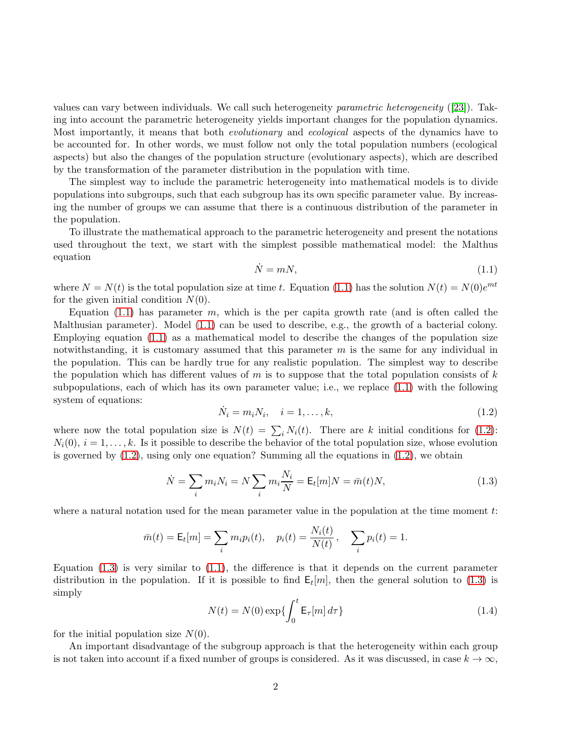values can vary between individuals. We call such heterogeneity parametric heterogeneity ([\[23\]](#page-23-0)). Taking into account the parametric heterogeneity yields important changes for the population dynamics. Most importantly, it means that both *evolutionary* and *ecological* aspects of the dynamics have to be accounted for. In other words, we must follow not only the total population numbers (ecological aspects) but also the changes of the population structure (evolutionary aspects), which are described by the transformation of the parameter distribution in the population with time.

The simplest way to include the parametric heterogeneity into mathematical models is to divide populations into subgroups, such that each subgroup has its own specific parameter value. By increasing the number of groups we can assume that there is a continuous distribution of the parameter in the population.

To illustrate the mathematical approach to the parametric heterogeneity and present the notations used throughout the text, we start with the simplest possible mathematical model: the Malthus equation

<span id="page-1-0"></span>
$$
\dot{N} = mN,\tag{1.1}
$$

where  $N = N(t)$  is the total population size at time t. Equation [\(1.1\)](#page-1-0) has the solution  $N(t) = N(0)e^{mt}$ for the given initial condition  $N(0)$ .

Equation  $(1.1)$  has parameter m, which is the per capita growth rate (and is often called the Malthusian parameter). Model [\(1.1\)](#page-1-0) can be used to describe, e.g., the growth of a bacterial colony. Employing equation [\(1.1\)](#page-1-0) as a mathematical model to describe the changes of the population size notwithstanding, it is customary assumed that this parameter  $m$  is the same for any individual in the population. This can be hardly true for any realistic population. The simplest way to describe the population which has different values of  $m$  is to suppose that the total population consists of  $k$ subpopulations, each of which has its own parameter value; i.e., we replace [\(1.1\)](#page-1-0) with the following system of equations:

<span id="page-1-1"></span>
$$
\dot{N}_i = m_i N_i, \quad i = 1, \dots, k,
$$
\n
$$
(1.2)
$$

where now the total population size is  $N(t) = \sum_i N_i(t)$ . There are k initial conditions for [\(1.2\)](#page-1-1):  $N_i(0), i = 1, \ldots, k$ . Is it possible to describe the behavior of the total population size, whose evolution is governed by [\(1.2\)](#page-1-1), using only one equation? Summing all the equations in [\(1.2\)](#page-1-1), we obtain

<span id="page-1-2"></span>
$$
\dot{N} = \sum_{i} m_{i} N_{i} = N \sum_{i} m_{i} \frac{N_{i}}{N} = \mathsf{E}_{t}[m]N = \bar{m}(t)N,
$$
\n(1.3)

where a natural notation used for the mean parameter value in the population at the time moment  $t$ :

$$
\bar{m}(t) = \mathsf{E}_t[m] = \sum_i m_i p_i(t), \quad p_i(t) = \frac{N_i(t)}{N(t)}, \quad \sum_i p_i(t) = 1.
$$

Equation  $(1.3)$  is very similar to  $(1.1)$ , the difference is that it depends on the current parameter distribution in the population. If it is possible to find  $E_t[m]$ , then the general solution to [\(1.3\)](#page-1-2) is simply

<span id="page-1-3"></span>
$$
N(t) = N(0) \exp\left\{ \int_0^t \mathsf{E}_{\tau}[m] d\tau \right\} \tag{1.4}
$$

for the initial population size  $N(0)$ .

An important disadvantage of the subgroup approach is that the heterogeneity within each group is not taken into account if a fixed number of groups is considered. As it was discussed, in case  $k \to \infty$ ,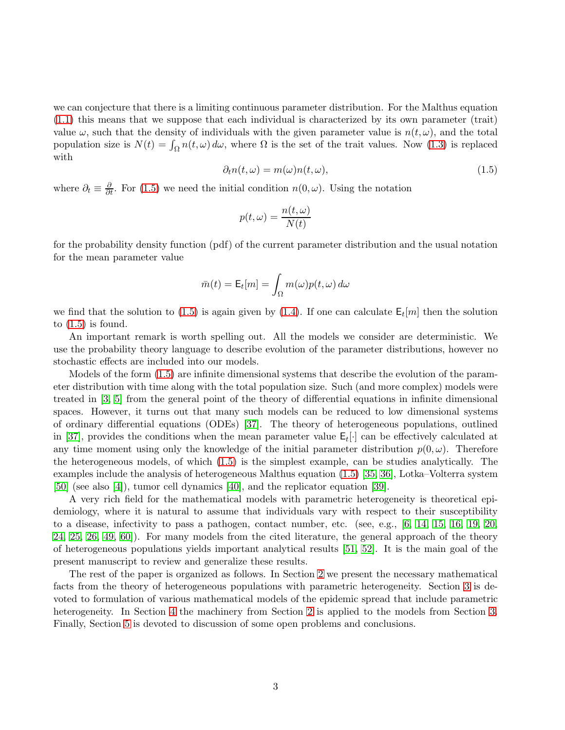we can conjecture that there is a limiting continuous parameter distribution. For the Malthus equation [\(1.1\)](#page-1-0) this means that we suppose that each individual is characterized by its own parameter (trait) value  $\omega$ , such that the density of individuals with the given parameter value is  $n(t, \omega)$ , and the total population size is  $N(t) = \int_{\Omega} n(t,\omega) d\omega$ , where  $\Omega$  is the set of the trait values. Now [\(1.3\)](#page-1-2) is replaced with

<span id="page-2-0"></span>
$$
\partial_t n(t,\omega) = m(\omega)n(t,\omega),\tag{1.5}
$$

where  $\partial_t \equiv \frac{\partial}{\partial t}$ . For [\(1.5\)](#page-2-0) we need the initial condition  $n(0,\omega)$ . Using the notation

$$
p(t,\omega)=\frac{n(t,\omega)}{N(t)}
$$

for the probability density function (pdf) of the current parameter distribution and the usual notation for the mean parameter value

$$
\bar{m}(t) = \mathsf{E}_t[m] = \int_{\Omega} m(\omega) p(t, \omega) d\omega
$$

we find that the solution to [\(1.5\)](#page-2-0) is again given by [\(1.4\)](#page-1-3). If one can calculate  $E_t[m]$  then the solution to  $(1.5)$  is found.

An important remark is worth spelling out. All the models we consider are deterministic. We use the probability theory language to describe evolution of the parameter distributions, however no stochastic effects are included into our models.

Models of the form [\(1.5\)](#page-2-0) are infinite dimensional systems that describe the evolution of the parameter distribution with time along with the total population size. Such (and more complex) models were treated in [\[3,](#page-21-0) [5\]](#page-21-1) from the general point of the theory of differential equations in infinite dimensional spaces. However, it turns out that many such models can be reduced to low dimensional systems of ordinary differential equations (ODEs) [\[37\]](#page-24-0). The theory of heterogeneous populations, outlined in [\[37\]](#page-24-0), provides the conditions when the mean parameter value  $E_t[\cdot]$  can be effectively calculated at any time moment using only the knowledge of the initial parameter distribution  $p(0, \omega)$ . Therefore the heterogeneous models, of which [\(1.5\)](#page-2-0) is the simplest example, can be studies analytically. The examples include the analysis of heterogeneous Malthus equation [\(1.5\)](#page-2-0) [\[35,](#page-24-1) [36\]](#page-24-2), Lotka–Volterra system [\[50\]](#page-24-3) (see also [\[4\]](#page-21-2)), tumor cell dynamics [\[40\]](#page-24-4), and the replicator equation [\[39\]](#page-24-5).

A very rich field for the mathematical models with parametric heterogeneity is theoretical epidemiology, where it is natural to assume that individuals vary with respect to their susceptibility to a disease, infectivity to pass a pathogen, contact number, etc. (see, e.g., [\[6,](#page-22-0) [14,](#page-22-1) [15,](#page-22-2) [16,](#page-22-3) [19,](#page-22-4) [20,](#page-22-5) [24,](#page-23-1) [25,](#page-23-2) [26,](#page-23-3) [49,](#page-24-6) [60\]](#page-25-0)). For many models from the cited literature, the general approach of the theory of heterogeneous populations yields important analytical results [\[51,](#page-25-1) [52\]](#page-25-2). It is the main goal of the present manuscript to review and generalize these results.

The rest of the paper is organized as follows. In Section [2](#page-3-0) we present the necessary mathematical facts from the theory of heterogeneous populations with parametric heterogeneity. Section [3](#page-6-0) is devoted to formulation of various mathematical models of the epidemic spread that include parametric heterogeneity. In Section [4](#page-10-0) the machinery from Section [2](#page-3-0) is applied to the models from Section [3.](#page-6-0) Finally, Section [5](#page-20-0) is devoted to discussion of some open problems and conclusions.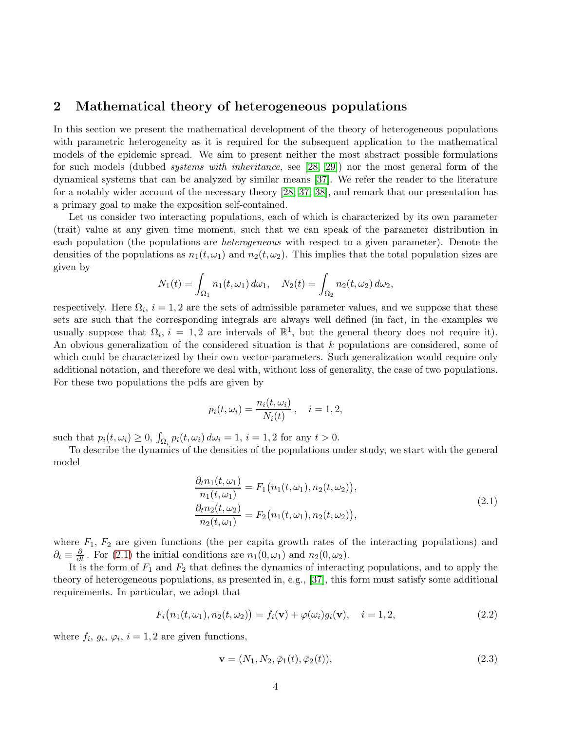## <span id="page-3-0"></span>2 Mathematical theory of heterogeneous populations

In this section we present the mathematical development of the theory of heterogeneous populations with parametric heterogeneity as it is required for the subsequent application to the mathematical models of the epidemic spread. We aim to present neither the most abstract possible formulations for such models (dubbed systems with inheritance, see [\[28,](#page-23-4) [29\]](#page-23-5)) nor the most general form of the dynamical systems that can be analyzed by similar means [\[37\]](#page-24-0). We refer the reader to the literature for a notably wider account of the necessary theory [\[28,](#page-23-4) [37,](#page-24-0) [38\]](#page-24-7), and remark that our presentation has a primary goal to make the exposition self-contained.

Let us consider two interacting populations, each of which is characterized by its own parameter (trait) value at any given time moment, such that we can speak of the parameter distribution in each population (the populations are heterogeneous with respect to a given parameter). Denote the densities of the populations as  $n_1(t, \omega_1)$  and  $n_2(t, \omega_2)$ . This implies that the total population sizes are given by

$$
N_1(t) = \int_{\Omega_1} n_1(t, \omega_1) d\omega_1, \quad N_2(t) = \int_{\Omega_2} n_2(t, \omega_2) d\omega_2,
$$

respectively. Here  $\Omega_i$ ,  $i = 1, 2$  are the sets of admissible parameter values, and we suppose that these sets are such that the corresponding integrals are always well defined (in fact, in the examples we usually suppose that  $\Omega_i$ ,  $i = 1, 2$  are intervals of  $\mathbb{R}^1$ , but the general theory does not require it). An obvious generalization of the considered situation is that k populations are considered, some of which could be characterized by their own vector-parameters. Such generalization would require only additional notation, and therefore we deal with, without loss of generality, the case of two populations. For these two populations the pdfs are given by

$$
p_i(t,\omega_i) = \frac{n_i(t,\omega_i)}{N_i(t)}, \quad i = 1, 2,
$$

such that  $p_i(t, \omega_i) \geq 0$ ,  $\int_{\Omega_i} p_i(t, \omega_i) d\omega_i = 1$ ,  $i = 1, 2$  for any  $t > 0$ .

To describe the dynamics of the densities of the populations under study, we start with the general model

$$
\frac{\partial_t n_1(t, \omega_1)}{n_1(t, \omega_1)} = F_1(n_1(t, \omega_1), n_2(t, \omega_2)), \n\frac{\partial_t n_2(t, \omega_2)}{n_2(t, \omega_1)} = F_2(n_1(t, \omega_1), n_2(t, \omega_2)),
$$
\n(2.1)

<span id="page-3-1"></span>where  $F_1, F_2$  are given functions (the per capita growth rates of the interacting populations) and  $\partial_t \equiv \frac{\partial}{\partial t}$ . For [\(2.1\)](#page-3-1) the initial conditions are  $n_1(0, \omega_1)$  and  $n_2(0, \omega_2)$ .

It is the form of  $F_1$  and  $F_2$  that defines the dynamics of interacting populations, and to apply the theory of heterogeneous populations, as presented in, e.g., [\[37\]](#page-24-0), this form must satisfy some additional requirements. In particular, we adopt that

<span id="page-3-2"></span>
$$
F_i\big(n_1(t,\omega_1),n_2(t,\omega_2)\big) = f_i(\mathbf{v}) + \varphi(\omega_i)g_i(\mathbf{v}), \quad i = 1,2,
$$
\n(2.2)

where  $f_i$ ,  $g_i$ ,  $\varphi_i$ ,  $i = 1, 2$  are given functions,

<span id="page-3-3"></span>
$$
\mathbf{v} = (N_1, N_2, \bar{\varphi}_1(t), \bar{\varphi}_2(t)),
$$
\n(2.3)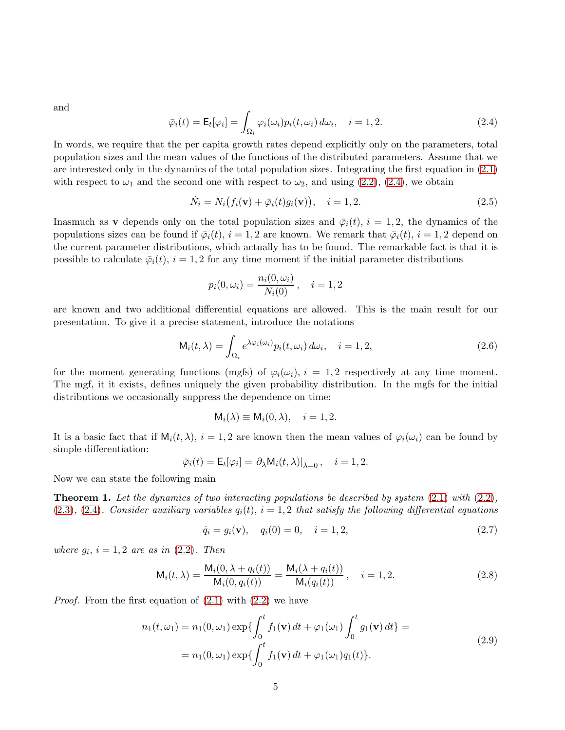and

<span id="page-4-0"></span>
$$
\bar{\varphi}_i(t) = \mathsf{E}_t[\varphi_i] = \int_{\Omega_i} \varphi_i(\omega_i) p_i(t, \omega_i) d\omega_i, \quad i = 1, 2.
$$
\n(2.4)

In words, we require that the per capita growth rates depend explicitly only on the parameters, total population sizes and the mean values of the functions of the distributed parameters. Assume that we are interested only in the dynamics of the total population sizes. Integrating the first equation in [\(2.1\)](#page-3-1) with respect to  $\omega_1$  and the second one with respect to  $\omega_2$ , and using [\(2.2\)](#page-3-2), [\(2.4\)](#page-4-0), we obtain

<span id="page-4-5"></span>
$$
\dot{N}_i = N_i \big( f_i(\mathbf{v}) + \bar{\varphi}_i(t) g_i(\mathbf{v}) \big), \quad i = 1, 2. \tag{2.5}
$$

Inasmuch as v depends only on the total population sizes and  $\bar{\varphi}_i(t)$ ,  $i = 1, 2$ , the dynamics of the populations sizes can be found if  $\bar{\varphi}_i(t)$ ,  $i = 1, 2$  are known. We remark that  $\bar{\varphi}_i(t)$ ,  $i = 1, 2$  depend on the current parameter distributions, which actually has to be found. The remarkable fact is that it is possible to calculate  $\bar{\varphi}_i(t)$ ,  $i = 1, 2$  for any time moment if the initial parameter distributions

$$
p_i(0, \omega_i) = \frac{n_i(0, \omega_i)}{N_i(0)}, \quad i = 1, 2
$$

are known and two additional differential equations are allowed. This is the main result for our presentation. To give it a precise statement, introduce the notations

<span id="page-4-2"></span>
$$
M_i(t,\lambda) = \int_{\Omega_i} e^{\lambda \varphi_i(\omega_i)} p_i(t,\omega_i) d\omega_i, \quad i = 1, 2,
$$
\n(2.6)

for the moment generating functions (mgfs) of  $\varphi_i(\omega_i)$ ,  $i = 1, 2$  respectively at any time moment. The mgf, it it exists, defines uniquely the given probability distribution. In the mgfs for the initial distributions we occasionally suppress the dependence on time:

$$
\mathsf{M}_i(\lambda) \equiv \mathsf{M}_i(0,\lambda), \quad i = 1,2.
$$

It is a basic fact that if  $M_i(t, \lambda)$ ,  $i = 1, 2$  are known then the mean values of  $\varphi_i(\omega_i)$  can be found by simple differentiation:

$$
\bar{\varphi}_i(t) = \mathsf{E}_t[\varphi_i] = \partial_{\lambda} \mathsf{M}_i(t, \lambda)|_{\lambda=0}, \quad i = 1, 2.
$$

Now we can state the following main

<span id="page-4-4"></span>**Theorem 1.** Let the dynamics of two interacting populations be described by system  $(2.1)$  with  $(2.2)$ ,  $(2.3), (2.4).$  $(2.3), (2.4).$  $(2.3), (2.4).$  $(2.3), (2.4).$  Consider auxiliary variables  $q_i(t), i = 1, 2$  that satisfy the following differential equations

<span id="page-4-6"></span>
$$
\dot{q}_i = g_i(\mathbf{v}), \quad q_i(0) = 0, \quad i = 1, 2,
$$
\n(2.7)

where  $g_i$ ,  $i = 1, 2$  are as in  $(2.2)$ . Then

<span id="page-4-3"></span>
$$
M_i(t,\lambda) = \frac{M_i(0,\lambda + q_i(t))}{M_i(0,q_i(t))} = \frac{M_i(\lambda + q_i(t))}{M_i(q_i(t))}, \quad i = 1, 2.
$$
 (2.8)

<span id="page-4-1"></span>*Proof.* From the first equation of  $(2.1)$  with  $(2.2)$  we have

$$
n_1(t,\omega_1) = n_1(0,\omega_1) \exp\left\{\int_0^t f_1(\mathbf{v}) dt + \varphi_1(\omega_1) \int_0^t g_1(\mathbf{v}) dt\right\} =
$$
  
=  $n_1(0,\omega_1) \exp\left\{\int_0^t f_1(\mathbf{v}) dt + \varphi_1(\omega_1) q_1(t)\right\}.$  (2.9)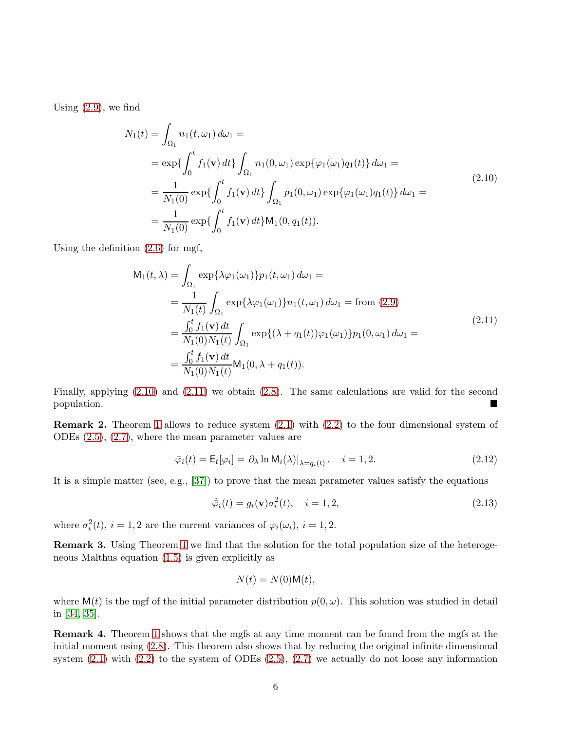<span id="page-5-0"></span>Using  $(2.9)$ , we find

$$
N_1(t) = \int_{\Omega_1} n_1(t, \omega_1) d\omega_1 =
$$
  
\n
$$
= \exp\{\int_0^t f_1(\mathbf{v}) dt\} \int_{\Omega_1} n_1(0, \omega_1) \exp\{\varphi_1(\omega_1) q_1(t)\} d\omega_1 =
$$
  
\n
$$
= \frac{1}{N_1(0)} \exp\{\int_0^t f_1(\mathbf{v}) dt\} \int_{\Omega_1} p_1(0, \omega_1) \exp\{\varphi_1(\omega_1) q_1(t)\} d\omega_1 =
$$
  
\n
$$
= \frac{1}{N_1(0)} \exp\{\int_0^t f_1(\mathbf{v}) dt\} M_1(0, q_1(t)).
$$
\n(2.10)

<span id="page-5-1"></span>Using the definition [\(2.6\)](#page-4-2) for mgf,

$$
M_1(t,\lambda) = \int_{\Omega_1} \exp{\{\lambda \varphi_1(\omega_1)\}} p_1(t,\omega_1) d\omega_1 =
$$
  
\n
$$
= \frac{1}{N_1(t)} \int_{\Omega_1} \exp{\{\lambda \varphi_1(\omega_1)\}} n_1(t,\omega_1) d\omega_1 = \text{from (2.9)}
$$
  
\n
$$
= \frac{\int_0^t f_1(\mathbf{v}) dt}{N_1(0)N_1(t)} \int_{\Omega_1} \exp{\{(\lambda + q_1(t))\varphi_1(\omega_1)\}} p_1(0,\omega_1) d\omega_1 =
$$
  
\n
$$
= \frac{\int_0^t f_1(\mathbf{v}) dt}{N_1(0)N_1(t)} M_1(0,\lambda + q_1(t)).
$$
\n(2.11)

Finally, applying [\(2.10\)](#page-5-0) and [\(2.11\)](#page-5-1) we obtain [\(2.8\)](#page-4-3). The same calculations are valid for the second population.

Remark 2. Theorem [1](#page-4-4) allows to reduce system [\(2.1\)](#page-3-1) with [\(2.2\)](#page-3-2) to the four dimensional system of ODEs [\(2.5\)](#page-4-5), [\(2.7\)](#page-4-6), where the mean parameter values are

<span id="page-5-2"></span>
$$
\bar{\varphi}_i(t) = \mathsf{E}_t[\varphi_i] = \partial_\lambda \ln \mathsf{M}_i(\lambda)|_{\lambda = q_i(t)}, \quad i = 1, 2. \tag{2.12}
$$

It is a simple matter (see, e.g.,  $[37]$ ) to prove that the mean parameter values satisfy the equations

<span id="page-5-3"></span>
$$
\dot{\overline{\varphi}}_i(t) = g_i(\mathbf{v})\sigma_i^2(t), \quad i = 1, 2,
$$
\n(2.13)

where  $\sigma_i^2(t)$ ,  $i = 1, 2$  are the current variances of  $\varphi_i(\omega_i)$ ,  $i = 1, 2$ .

Remark 3. Using Theorem [1](#page-4-4) we find that the solution for the total population size of the heterogeneous Malthus equation [\(1.5\)](#page-2-0) is given explicitly as

$$
N(t) = N(0) \mathsf{M}(t),
$$

where  $M(t)$  is the mgf of the initial parameter distribution  $p(0, \omega)$ . This solution was studied in detail in [\[34,](#page-23-6) [35\]](#page-24-1).

Remark 4. Theorem [1](#page-4-4) shows that the mgfs at any time moment can be found from the mgfs at the initial moment using [\(2.8\)](#page-4-3). This theorem also shows that by reducing the original infinite dimensional system  $(2.1)$  with  $(2.2)$  to the system of ODEs  $(2.5)$ ,  $(2.7)$  we actually do not loose any information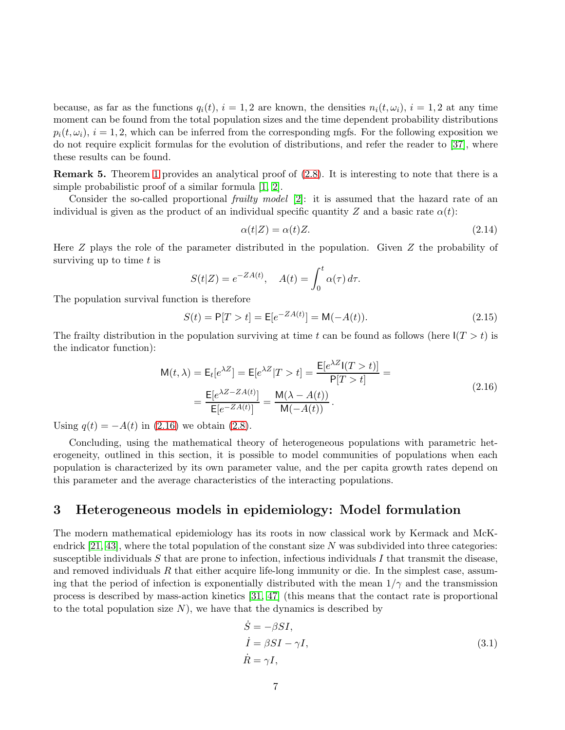because, as far as the functions  $q_i(t)$ ,  $i = 1, 2$  are known, the densities  $n_i(t, \omega_i)$ ,  $i = 1, 2$  at any time moment can be found from the total population sizes and the time dependent probability distributions  $p_i(t, \omega_i)$ ,  $i = 1, 2$ , which can be inferred from the corresponding mgfs. For the following exposition we do not require explicit formulas for the evolution of distributions, and refer the reader to [\[37\]](#page-24-0), where these results can be found.

Remark 5. Theorem [1](#page-4-4) provides an analytical proof of [\(2.8\)](#page-4-3). It is interesting to note that there is a simple probabilistic proof of a similar formula [\[1,](#page-21-3) [2\]](#page-21-4).

Consider the so-called proportional frailty model [\[2\]](#page-21-4): it is assumed that the hazard rate of an individual is given as the product of an individual specific quantity Z and a basic rate  $\alpha(t)$ :

$$
\alpha(t|Z) = \alpha(t)Z.\tag{2.14}
$$

Here Z plays the role of the parameter distributed in the population. Given Z the probability of surviving up to time  $t$  is

$$
S(t|Z) = e^{-ZA(t)}, \quad A(t) = \int_0^t \alpha(\tau) d\tau.
$$

The population survival function is therefore

$$
S(t) = P[T > t] = E[e^{-ZA(t)}] = M(-A(t)).
$$
\n(2.15)

The frailty distribution in the population surviving at time t can be found as follows (here  $I(T > t)$ ) is the indicator function):

$$
M(t,\lambda) = E_t[e^{\lambda Z}] = E[e^{\lambda Z}|T > t] = \frac{E[e^{\lambda Z}I(T > t)]}{P[T > t]} =
$$
  
= 
$$
\frac{E[e^{\lambda Z - ZA(t)}]}{E[e^{-ZA(t)}]} = \frac{M(\lambda - A(t))}{M(-A(t))}.
$$
 (2.16)

<span id="page-6-1"></span>Using  $q(t) = -A(t)$  in [\(2.16\)](#page-6-1) we obtain [\(2.8\)](#page-4-3).

Concluding, using the mathematical theory of heterogeneous populations with parametric heterogeneity, outlined in this section, it is possible to model communities of populations when each population is characterized by its own parameter value, and the per capita growth rates depend on this parameter and the average characteristics of the interacting populations.

### <span id="page-6-0"></span>3 Heterogeneous models in epidemiology: Model formulation

<span id="page-6-2"></span>The modern mathematical epidemiology has its roots in now classical work by Kermack and McKendrick  $[21, 43]$  $[21, 43]$ , where the total population of the constant size N was subdivided into three categories: susceptible individuals  $S$  that are prone to infection, infectious individuals  $I$  that transmit the disease. and removed individuals  $R$  that either acquire life-long immunity or die. In the simplest case, assuming that the period of infection is exponentially distributed with the mean  $1/\gamma$  and the transmission process is described by mass-action kinetics [\[31,](#page-23-8) [47\]](#page-24-9) (this means that the contact rate is proportional to the total population size  $N$ ), we have that the dynamics is described by

$$
\dot{S} = -\beta SI,\n\dot{I} = \beta SI - \gamma I,\n\dot{R} = \gamma I,
$$
\n(3.1)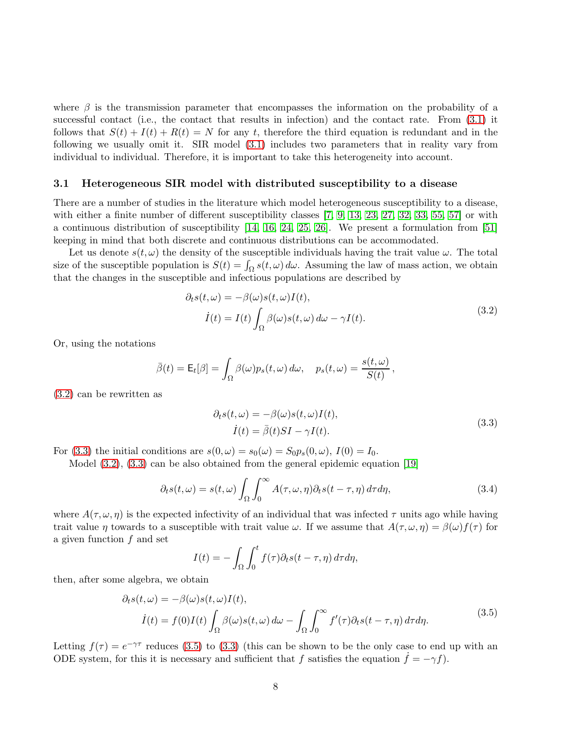where  $\beta$  is the transmission parameter that encompasses the information on the probability of a successful contact (i.e., the contact that results in infection) and the contact rate. From [\(3.1\)](#page-6-2) it follows that  $S(t) + I(t) + R(t) = N$  for any t, therefore the third equation is redundant and in the following we usually omit it. SIR model [\(3.1\)](#page-6-2) includes two parameters that in reality vary from individual to individual. Therefore, it is important to take this heterogeneity into account.

#### 3.1 Heterogeneous SIR model with distributed susceptibility to a disease

There are a number of studies in the literature which model heterogeneous susceptibility to a disease, with either a finite number of different susceptibility classes  $(7, 9, 13, 23, 27, 32, 33, 55, 57]$  $(7, 9, 13, 23, 27, 32, 33, 55, 57]$  $(7, 9, 13, 23, 27, 32, 33, 55, 57]$  $(7, 9, 13, 23, 27, 32, 33, 55, 57]$  $(7, 9, 13, 23, 27, 32, 33, 55, 57]$  $(7, 9, 13, 23, 27, 32, 33, 55, 57]$  $(7, 9, 13, 23, 27, 32, 33, 55, 57]$  $(7, 9, 13, 23, 27, 32, 33, 55, 57]$  $(7, 9, 13, 23, 27, 32, 33, 55, 57]$  or with a continuous distribution of susceptibility [\[14,](#page-22-1) [16,](#page-22-3) [24,](#page-23-1) [25,](#page-23-2) [26\]](#page-23-3). We present a formulation from [\[51\]](#page-25-1) keeping in mind that both discrete and continuous distributions can be accommodated.

Let us denote  $s(t, \omega)$  the density of the susceptible individuals having the trait value  $\omega$ . The total size of the susceptible population is  $S(t) = \int_{\Omega} s(t, \omega) d\omega$ . Assuming the law of mass action, we obtain that the changes in the susceptible and infectious populations are described by

$$
\partial_t s(t,\omega) = -\beta(\omega)s(t,\omega)I(t),
$$
  
\n
$$
\dot{I}(t) = I(t) \int_{\Omega} \beta(\omega)s(t,\omega) d\omega - \gamma I(t).
$$
\n(3.2)

<span id="page-7-0"></span>Or, using the notations

$$
\bar{\beta}(t) = \mathsf{E}_t[\beta] = \int_{\Omega} \beta(\omega) p_s(t, \omega) d\omega, \quad p_s(t, \omega) = \frac{s(t, \omega)}{S(t)},
$$

<span id="page-7-1"></span>[\(3.2\)](#page-7-0) can be rewritten as

$$
\partial_t s(t,\omega) = -\beta(\omega)s(t,\omega)I(t),
$$
  
\n
$$
\dot{I}(t) = \bar{\beta}(t)SI - \gamma I(t).
$$
\n(3.3)

For [\(3.3\)](#page-7-1) the initial conditions are  $s(0,\omega) = s_0(\omega) = S_0 p_s(0,\omega)$ ,  $I(0) = I_0$ .

Model [\(3.2\)](#page-7-0), [\(3.3\)](#page-7-1) can be also obtained from the general epidemic equation [\[19\]](#page-22-4)

<span id="page-7-3"></span>
$$
\partial_t s(t,\omega) = s(t,\omega) \int_{\Omega} \int_0^{\infty} A(\tau,\omega,\eta) \partial_t s(t-\tau,\eta) d\tau d\eta,
$$
\n(3.4)

where  $A(\tau, \omega, \eta)$  is the expected infectivity of an individual that was infected  $\tau$  units ago while having trait value  $\eta$  towards to a susceptible with trait value  $\omega$ . If we assume that  $A(\tau, \omega, \eta) = \beta(\omega) f(\tau)$  for a given function f and set

$$
I(t) = -\int_{\Omega} \int_0^t f(\tau) \partial_t s(t - \tau, \eta) d\tau d\eta,
$$

then, after some algebra, we obtain

$$
\partial_t s(t,\omega) = -\beta(\omega)s(t,\omega)I(t),
$$
  
\n
$$
\dot{I}(t) = f(0)I(t) \int_{\Omega} \beta(\omega)s(t,\omega) d\omega - \int_{\Omega} \int_0^{\infty} f'(\tau) \partial_t s(t-\tau,\eta) d\tau d\eta.
$$
\n(3.5)

<span id="page-7-2"></span>Letting  $f(\tau) = e^{-\gamma \tau}$  reduces [\(3.5\)](#page-7-2) to [\(3.3\)](#page-7-1) (this can be shown to be the only case to end up with an ODE system, for this it is necessary and sufficient that f satisfies the equation  $\dot{f} = -\gamma f$ .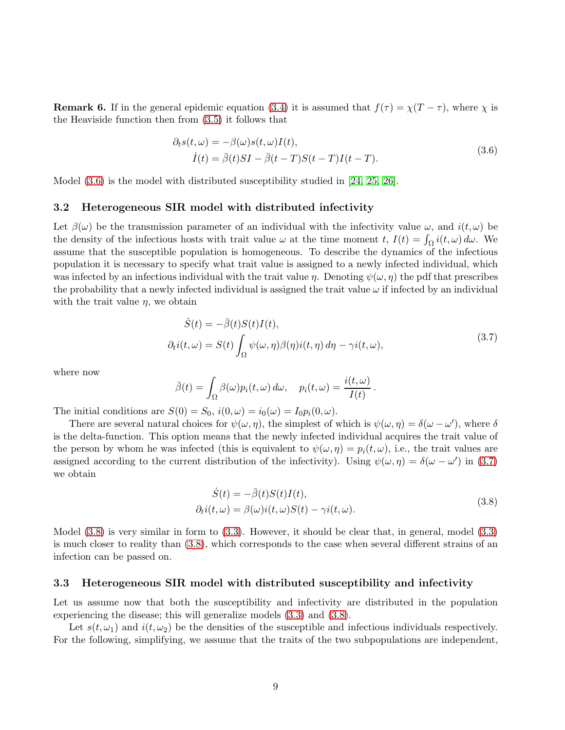**Remark 6.** If in the general epidemic equation [\(3.4\)](#page-7-3) it is assumed that  $f(\tau) = \chi(T - \tau)$ , where  $\chi$  is the Heaviside function then from [\(3.5\)](#page-7-2) it follows that

$$
\partial_t s(t,\omega) = -\beta(\omega)s(t,\omega)I(t),
$$
  
\n
$$
\dot{I}(t) = \bar{\beta}(t)SI - \bar{\beta}(t-T)S(t-T)I(t-T).
$$
\n(3.6)

<span id="page-8-0"></span>Model [\(3.6\)](#page-8-0) is the model with distributed susceptibility studied in [\[24,](#page-23-1) [25,](#page-23-2) [26\]](#page-23-3).

#### 3.2 Heterogeneous SIR model with distributed infectivity

Let  $\beta(\omega)$  be the transmission parameter of an individual with the infectivity value  $\omega$ , and  $i(t, \omega)$  be the density of the infectious hosts with trait value  $\omega$  at the time moment  $t$ ,  $I(t) = \int_{\Omega} i(t, \omega) d\omega$ . We assume that the susceptible population is homogeneous. To describe the dynamics of the infectious population it is necessary to specify what trait value is assigned to a newly infected individual, which was infected by an infectious individual with the trait value  $\eta$ . Denoting  $\psi(\omega, \eta)$  the pdf that prescribes the probability that a newly infected individual is assigned the trait value  $\omega$  if infected by an individual with the trait value  $\eta$ , we obtain

$$
\dot{S}(t) = -\bar{\beta}(t)S(t)I(t),
$$
\n
$$
\partial_t i(t,\omega) = S(t) \int_{\Omega} \psi(\omega,\eta) \beta(\eta) i(t,\eta) d\eta - \gamma i(t,\omega),
$$
\n(3.7)

<span id="page-8-1"></span>where now

$$
\bar{\beta}(t) = \int_{\Omega} \beta(\omega) p_i(t, \omega) d\omega, \quad p_i(t, \omega) = \frac{i(t, \omega)}{I(t)}.
$$

The initial conditions are  $S(0) = S_0$ ,  $i(0, \omega) = i_0(\omega) = I_0 p_i(0, \omega)$ .

There are several natural choices for  $\psi(\omega, \eta)$ , the simplest of which is  $\psi(\omega, \eta) = \delta(\omega - \omega')$ , where  $\delta$ is the delta-function. This option means that the newly infected individual acquires the trait value of the person by whom he was infected (this is equivalent to  $\psi(\omega, \eta) = p_i(t, \omega)$ , i.e., the trait values are assigned according to the current distribution of the infectivity). Using  $\psi(\omega, \eta) = \delta(\omega - \omega')$  in [\(3.7\)](#page-8-1) we obtain

$$
\dot{S}(t) = -\bar{\beta}(t)S(t)I(t), \n\partial_t i(t,\omega) = \beta(\omega)i(t,\omega)S(t) - \gamma i(t,\omega).
$$
\n(3.8)

<span id="page-8-2"></span>Model [\(3.8\)](#page-8-2) is very similar in form to [\(3.3\)](#page-7-1). However, it should be clear that, in general, model [\(3.3\)](#page-7-1) is much closer to reality than [\(3.8\)](#page-8-2), which corresponds to the case when several different strains of an infection can be passed on.

#### 3.3 Heterogeneous SIR model with distributed susceptibility and infectivity

Let us assume now that both the susceptibility and infectivity are distributed in the population experiencing the disease; this will generalize models [\(3.3\)](#page-7-1) and [\(3.8\)](#page-8-2).

Let  $s(t, \omega_1)$  and  $i(t, \omega_2)$  be the densities of the susceptible and infectious individuals respectively. For the following, simplifying, we assume that the traits of the two subpopulations are independent,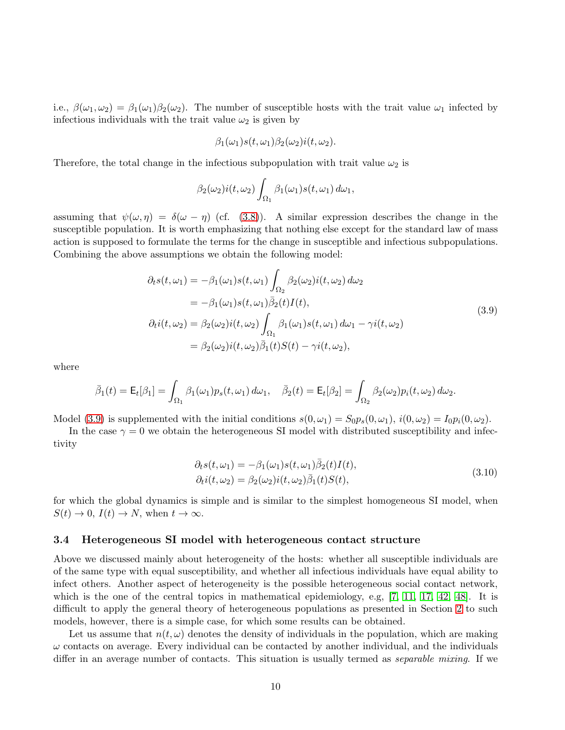i.e.,  $\beta(\omega_1, \omega_2) = \beta_1(\omega_1)\beta_2(\omega_2)$ . The number of susceptible hosts with the trait value  $\omega_1$  infected by infectious individuals with the trait value  $\omega_2$  is given by

$$
\beta_1(\omega_1)s(t,\omega_1)\beta_2(\omega_2)i(t,\omega_2).
$$

Therefore, the total change in the infectious subpopulation with trait value  $\omega_2$  is

$$
\beta_2(\omega_2)i(t,\omega_2)\int_{\Omega_1}\beta_1(\omega_1)s(t,\omega_1)\,d\omega_1,
$$

assuming that  $\psi(\omega, \eta) = \delta(\omega - \eta)$  (cf. [\(3.8\)](#page-8-2)). A similar expression describes the change in the susceptible population. It is worth emphasizing that nothing else except for the standard law of mass action is supposed to formulate the terms for the change in susceptible and infectious subpopulations. Combining the above assumptions we obtain the following model:

$$
\partial_t s(t, \omega_1) = -\beta_1(\omega_1)s(t, \omega_1) \int_{\Omega_2} \beta_2(\omega_2)i(t, \omega_2) d\omega_2
$$
  
\n
$$
= -\beta_1(\omega_1)s(t, \omega_1)\overline{\beta}_2(t)I(t),
$$
  
\n
$$
\partial_t i(t, \omega_2) = \beta_2(\omega_2)i(t, \omega_2) \int_{\Omega_1} \beta_1(\omega_1)s(t, \omega_1) d\omega_1 - \gamma i(t, \omega_2)
$$
  
\n
$$
= \beta_2(\omega_2)i(t, \omega_2)\overline{\beta}_1(t)S(t) - \gamma i(t, \omega_2),
$$
\n(3.9)

<span id="page-9-0"></span>where

$$
\bar{\beta}_1(t) = \mathsf{E}_t[\beta_1] = \int_{\Omega_1} \beta_1(\omega_1) p_s(t, \omega_1) d\omega_1, \quad \bar{\beta}_2(t) = \mathsf{E}_t[\beta_2] = \int_{\Omega_2} \beta_2(\omega_2) p_i(t, \omega_2) d\omega_2.
$$

Model [\(3.9\)](#page-9-0) is supplemented with the initial conditions  $s(0, \omega_1) = S_0 p_s(0, \omega_1)$ ,  $i(0, \omega_2) = I_0 p_i(0, \omega_2)$ .

In the case  $\gamma = 0$  we obtain the heterogeneous SI model with distributed susceptibility and infectivity

$$
\partial_t s(t, \omega_1) = -\beta_1(\omega_1)s(t, \omega_1)\overline{\beta}_2(t)I(t),
$$
  
\n
$$
\partial_t i(t, \omega_2) = \beta_2(\omega_2)i(t, \omega_2)\overline{\beta}_1(t)S(t),
$$
\n(3.10)

<span id="page-9-1"></span>for which the global dynamics is simple and is similar to the simplest homogeneous SI model, when  $S(t) \to 0$ ,  $I(t) \to N$ , when  $t \to \infty$ .

#### 3.4 Heterogeneous SI model with heterogeneous contact structure

Above we discussed mainly about heterogeneity of the hosts: whether all susceptible individuals are of the same type with equal susceptibility, and whether all infectious individuals have equal ability to infect others. Another aspect of heterogeneity is the possible heterogeneous social contact network, which is the one of the central topics in mathematical epidemiology, e.g,  $[7, 11, 17, 42, 48]$  $[7, 11, 17, 42, 48]$  $[7, 11, 17, 42, 48]$  $[7, 11, 17, 42, 48]$  $[7, 11, 17, 42, 48]$ . It is difficult to apply the general theory of heterogeneous populations as presented in Section [2](#page-3-0) to such models, however, there is a simple case, for which some results can be obtained.

Let us assume that  $n(t, \omega)$  denotes the density of individuals in the population, which are making  $\omega$  contacts on average. Every individual can be contacted by another individual, and the individuals differ in an average number of contacts. This situation is usually termed as *separable mixing*. If we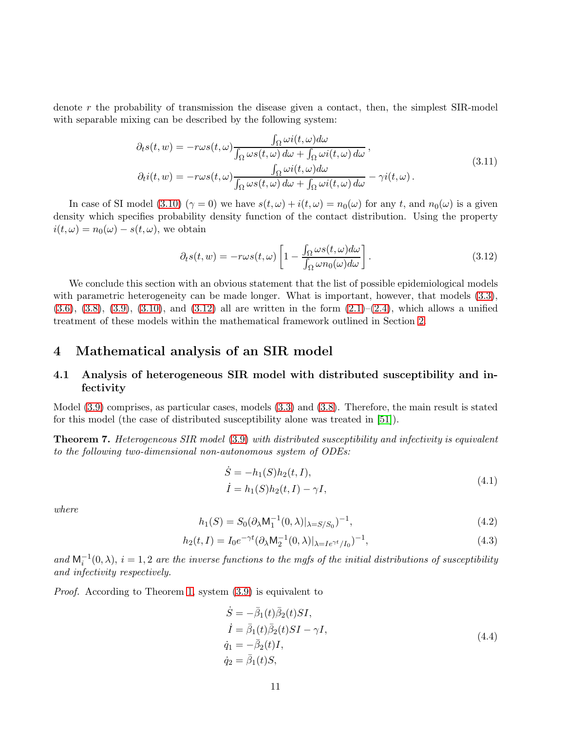denote r the probability of transmission the disease given a contact, then, the simplest SIR-model with separable mixing can be described by the following system:

$$
\partial_t s(t, w) = -r\omega s(t, \omega) \frac{\int_{\Omega} \omega i(t, \omega) d\omega}{\int_{\Omega} \omega s(t, \omega) d\omega + \int_{\Omega} \omega i(t, \omega) d\omega},
$$
\n
$$
\partial_t i(t, w) = -r\omega s(t, \omega) \frac{\int_{\Omega} \omega i(t, \omega) d\omega}{\int_{\Omega} \omega s(t, \omega) d\omega + \int_{\Omega} \omega i(t, \omega) d\omega} - \gamma i(t, \omega).
$$
\n(3.11)

<span id="page-10-7"></span>In case of SI model [\(3.10\)](#page-9-1) ( $\gamma = 0$ ) we have  $s(t, \omega) + i(t, \omega) = n_0(\omega)$  for any t, and  $n_0(\omega)$  is a given density which specifies probability density function of the contact distribution. Using the property  $i(t, \omega) = n_0(\omega) - s(t, \omega)$ , we obtain

<span id="page-10-1"></span>
$$
\partial_t s(t, w) = -r\omega s(t, \omega) \left[ 1 - \frac{\int_{\Omega} \omega s(t, \omega) d\omega}{\int_{\Omega} \omega n_0(\omega) d\omega} \right].
$$
\n(3.12)

We conclude this section with an obvious statement that the list of possible epidemiological models with parametric heterogeneity can be made longer. What is important, however, that models  $(3.3)$ ,  $(3.6), (3.8), (3.9), (3.10),$  $(3.6), (3.8), (3.9), (3.10),$  $(3.6), (3.8), (3.9), (3.10),$  $(3.6), (3.8), (3.9), (3.10),$  $(3.6), (3.8), (3.9), (3.10),$  $(3.6), (3.8), (3.9), (3.10),$  $(3.6), (3.8), (3.9), (3.10),$  $(3.6), (3.8), (3.9), (3.10),$  and  $(3.12)$  all are written in the form  $(2.1)$ – $(2.4)$ , which allows a unified treatment of these models within the mathematical framework outlined in Section [2.](#page-3-0)

## <span id="page-10-0"></span>4 Mathematical analysis of an SIR model

### 4.1 Analysis of heterogeneous SIR model with distributed susceptibility and infectivity

Model [\(3.9\)](#page-9-0) comprises, as particular cases, models [\(3.3\)](#page-7-1) and [\(3.8\)](#page-8-2). Therefore, the main result is stated for this model (the case of distributed susceptibility alone was treated in [\[51\]](#page-25-1)).

<span id="page-10-6"></span>Theorem 7. Heterogeneous SIR model [\(3.9\)](#page-9-0) with distributed susceptibility and infectivity is equivalent to the following two-dimensional non-autonomous system of ODEs:

$$
\dot{S} = -h_1(S)h_2(t, I), \n\dot{I} = h_1(S)h_2(t, I) - \gamma I,
$$
\n(4.1)

<span id="page-10-3"></span>where

<span id="page-10-4"></span>
$$
h_1(S) = S_0(\partial_\lambda \mathsf{M}_1^{-1}(0,\lambda)|_{\lambda = S/S_0})^{-1},\tag{4.2}
$$

<span id="page-10-5"></span>
$$
h_2(t,I) = I_0 e^{-\gamma t} (\partial_{\lambda} \mathsf{M}_2^{-1}(0,\lambda)|_{\lambda = I e^{\gamma t} / I_0})^{-1}, \tag{4.3}
$$

and  $M_i^{-1}(0, \lambda)$ ,  $i = 1, 2$  are the inverse functions to the mgfs of the initial distributions of susceptibility and infectivity respectively.

<span id="page-10-2"></span>Proof. According to Theorem [1,](#page-4-4) system [\(3.9\)](#page-9-0) is equivalent to

$$
\dot{S} = -\bar{\beta}_1(t)\bar{\beta}_2(t)SI,\n\dot{I} = \bar{\beta}_1(t)\bar{\beta}_2(t)SI - \gamma I,\n\dot{q}_1 = -\bar{\beta}_2(t)I,\n\dot{q}_2 = \bar{\beta}_1(t)S,
$$
\n(4.4)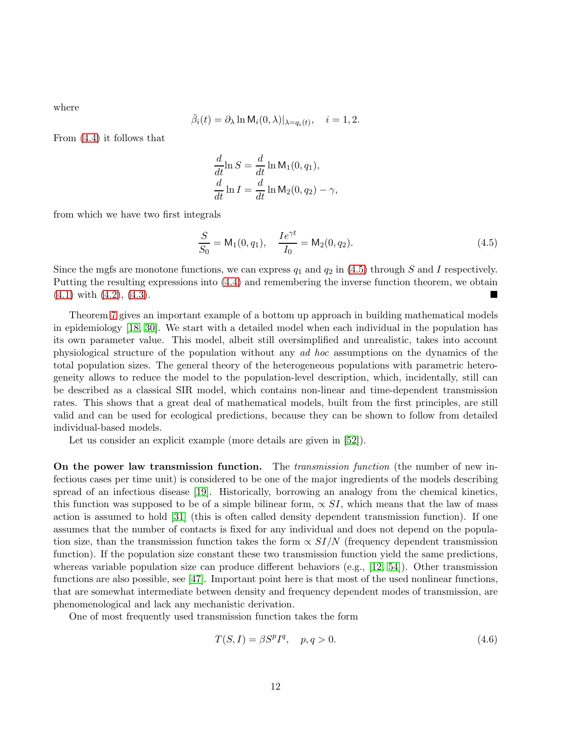where

$$
\bar{\beta}_i(t) = \partial_{\lambda} \ln \mathsf{M}_i(0, \lambda)|_{\lambda = q_i(t)}, \quad i = 1, 2.
$$

From [\(4.4\)](#page-10-2) it follows that

$$
\frac{d}{dt}\ln S = \frac{d}{dt}\ln \mathsf{M}_1(0, q_1),
$$
  

$$
\frac{d}{dt}\ln I = \frac{d}{dt}\ln \mathsf{M}_2(0, q_2) - \gamma,
$$

from which we have two first integrals

<span id="page-11-0"></span>
$$
\frac{S}{S_0} = \mathsf{M}_1(0, q_1), \quad \frac{I e^{\gamma t}}{I_0} = \mathsf{M}_2(0, q_2). \tag{4.5}
$$

Since the mgfs are monotone functions, we can express  $q_1$  and  $q_2$  in [\(4.5\)](#page-11-0) through S and I respectively. Putting the resulting expressions into [\(4.4\)](#page-10-2) and remembering the inverse function theorem, we obtain  $(4.1)$  with  $(4.2)$ ,  $(4.3)$ .

Theorem [7](#page-10-6) gives an important example of a bottom up approach in building mathematical models in epidemiology [\[18,](#page-22-11) [30\]](#page-23-12). We start with a detailed model when each individual in the population has its own parameter value. This model, albeit still oversimplified and unrealistic, takes into account physiological structure of the population without any ad hoc assumptions on the dynamics of the total population sizes. The general theory of the heterogeneous populations with parametric heterogeneity allows to reduce the model to the population-level description, which, incidentally, still can be described as a classical SIR model, which contains non-linear and time-dependent transmission rates. This shows that a great deal of mathematical models, built from the first principles, are still valid and can be used for ecological predictions, because they can be shown to follow from detailed individual-based models.

Let us consider an explicit example (more details are given in  $[52]$ ).

On the power law transmission function. The transmission function (the number of new infectious cases per time unit) is considered to be one of the major ingredients of the models describing spread of an infectious disease [\[19\]](#page-22-4). Historically, borrowing an analogy from the chemical kinetics, this function was supposed to be of a simple bilinear form,  $\propto SI$ , which means that the law of mass action is assumed to hold [\[31\]](#page-23-8) (this is often called density dependent transmission function). If one assumes that the number of contacts is fixed for any individual and does not depend on the population size, than the transmission function takes the form  $\propto SI/N$  (frequency dependent transmission function). If the population size constant these two transmission function yield the same predictions, whereas variable population size can produce different behaviors (e.g.,  $[12, 54]$  $[12, 54]$ ). Other transmission functions are also possible, see [\[47\]](#page-24-9). Important point here is that most of the used nonlinear functions, that are somewhat intermediate between density and frequency dependent modes of transmission, are phenomenological and lack any mechanistic derivation.

One of most frequently used transmission function takes the form

<span id="page-11-1"></span>
$$
T(S,I) = \beta S^p I^q, \quad p, q > 0. \tag{4.6}
$$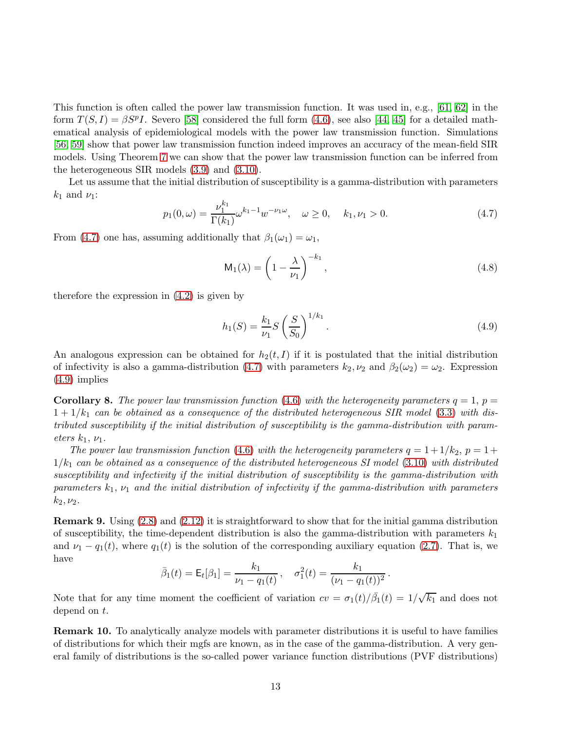This function is often called the power law transmission function. It was used in, e.g., [\[61,](#page-25-6) [62\]](#page-25-7) in the form  $T(S, I) = \beta S^{p}I$ . Severo [\[58\]](#page-25-8) considered the full form [\(4.6\)](#page-11-1), see also [\[44,](#page-24-12) [45\]](#page-24-13) for a detailed mathematical analysis of epidemiological models with the power law transmission function. Simulations [\[56,](#page-25-9) [59\]](#page-25-10) show that power law transmission function indeed improves an accuracy of the mean-field SIR models. Using Theorem [7](#page-10-6) we can show that the power law transmission function can be inferred from the heterogeneous SIR models [\(3.9\)](#page-9-0) and [\(3.10\)](#page-9-1).

Let us assume that the initial distribution of susceptibility is a gamma-distribution with parameters  $k_1$  and  $\nu_1$ :

<span id="page-12-0"></span>
$$
p_1(0,\omega) = \frac{\nu_1^{k_1}}{\Gamma(k_1)} \omega^{k_1 - 1} w^{-\nu_1 \omega}, \quad \omega \ge 0, \quad k_1, \nu_1 > 0.
$$
 (4.7)

From [\(4.7\)](#page-12-0) one has, assuming additionally that  $\beta_1(\omega_1) = \omega_1$ ,

<span id="page-12-2"></span>
$$
\mathsf{M}_1(\lambda) = \left(1 - \frac{\lambda}{\nu_1}\right)^{-k_1},\tag{4.8}
$$

therefore the expression in [\(4.2\)](#page-10-4) is given by

<span id="page-12-1"></span>
$$
h_1(S) = \frac{k_1}{\nu_1} S \left(\frac{S}{S_0}\right)^{1/k_1}.
$$
\n(4.9)

An analogous expression can be obtained for  $h_2(t, I)$  if it is postulated that the initial distribution of infectivity is also a gamma-distribution [\(4.7\)](#page-12-0) with parameters  $k_2, \nu_2$  and  $\beta_2(\omega_2) = \omega_2$ . Expression [\(4.9\)](#page-12-1) implies

**Corollary 8.** The power law transmission function [\(4.6\)](#page-11-1) with the heterogeneity parameters  $q = 1$ ,  $p =$  $1 + 1/k_1$  can be obtained as a consequence of the distributed heterogeneous SIR model [\(3.3\)](#page-7-1) with distributed susceptibility if the initial distribution of susceptibility is the gamma-distribution with parameters  $k_1, \nu_1$ .

The power law transmission function [\(4.6\)](#page-11-1) with the heterogeneity parameters  $q = 1 + 1/k_2$ ,  $p = 1 +$  $1/k_1$  can be obtained as a consequence of the distributed heterogeneous SI model [\(3.10\)](#page-9-1) with distributed susceptibility and infectivity if the initial distribution of susceptibility is the gamma-distribution with parameters  $k_1$ ,  $\nu_1$  and the initial distribution of infectivity if the gamma-distribution with parameters  $k_2, \nu_2.$ 

<span id="page-12-3"></span>Remark 9. Using [\(2.8\)](#page-4-3) and [\(2.12\)](#page-5-2) it is straightforward to show that for the initial gamma distribution of susceptibility, the time-dependent distribution is also the gamma-distribution with parameters  $k_1$ and  $\nu_1 - q_1(t)$ , where  $q_1(t)$  is the solution of the corresponding auxiliary equation [\(2.7\)](#page-4-6). That is, we have

$$
\bar{\beta}_1(t) = \mathsf{E}_t[\beta_1] = \frac{k_1}{\nu_1 - q_1(t)}, \quad \sigma_1^2(t) = \frac{k_1}{(\nu_1 - q_1(t))^2}.
$$

Note that for any time moment the coefficient of variation  $cv = \sigma_1(t)/\bar{\beta_1}(t) = 1/\sqrt{k_1}$  and does not depend on t.

Remark 10. To analytically analyze models with parameter distributions it is useful to have families of distributions for which their mgfs are known, as in the case of the gamma-distribution. A very general family of distributions is the so-called power variance function distributions (PVF distributions)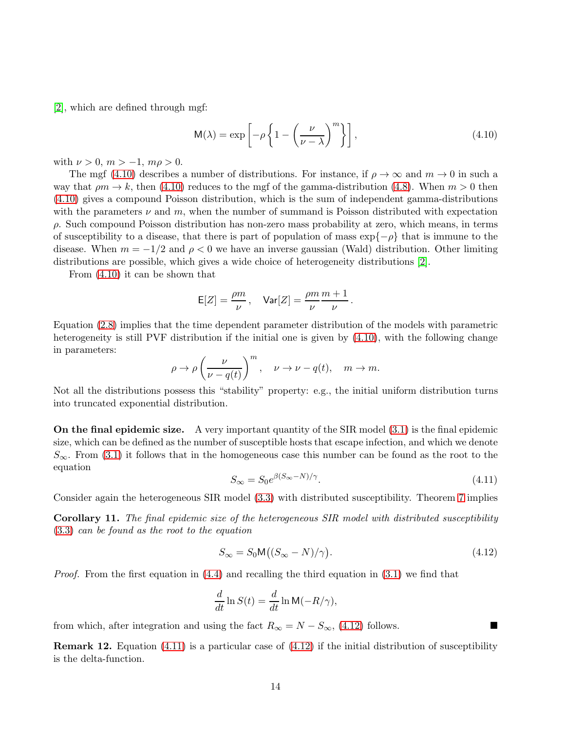[\[2\]](#page-21-4), which are defined through mgf:

<span id="page-13-0"></span>
$$
M(\lambda) = \exp\left[-\rho \left\{1 - \left(\frac{\nu}{\nu - \lambda}\right)^m\right\}\right],
$$
\n(4.10)

with  $\nu > 0$ ,  $m > -1$ ,  $m\rho > 0$ .

The mgf [\(4.10\)](#page-13-0) describes a number of distributions. For instance, if  $\rho \to \infty$  and  $m \to 0$  in such a way that  $\rho m \to k$ , then [\(4.10\)](#page-13-0) reduces to the mgf of the gamma-distribution [\(4.8\)](#page-12-2). When  $m > 0$  then [\(4.10\)](#page-13-0) gives a compound Poisson distribution, which is the sum of independent gamma-distributions with the parameters  $\nu$  and m, when the number of summand is Poisson distributed with expectation ρ. Such compound Poisson distribution has non-zero mass probability at zero, which means, in terms of susceptibility to a disease, that there is part of population of mass  $\exp\{-\rho\}$  that is immune to the disease. When  $m = -1/2$  and  $\rho < 0$  we have an inverse gaussian (Wald) distribution. Other limiting distributions are possible, which gives a wide choice of heterogeneity distributions [\[2\]](#page-21-4).

From [\(4.10\)](#page-13-0) it can be shown that

$$
\mathsf{E}[Z] = \frac{\rho m}{\nu}, \quad \mathsf{Var}[Z] = \frac{\rho m}{\nu} \frac{m+1}{\nu}.
$$

Equation [\(2.8\)](#page-4-3) implies that the time dependent parameter distribution of the models with parametric heterogeneity is still PVF distribution if the initial one is given by [\(4.10\)](#page-13-0), with the following change in parameters:

$$
\rho \to \rho \left(\frac{\nu}{\nu - q(t)}\right)^m, \quad \nu \to \nu - q(t), \quad m \to m.
$$

Not all the distributions possess this "stability" property: e.g., the initial uniform distribution turns into truncated exponential distribution.

On the final epidemic size. A very important quantity of the SIR model [\(3.1\)](#page-6-2) is the final epidemic size, which can be defined as the number of susceptible hosts that escape infection, and which we denote  $S_{\infty}$ . From [\(3.1\)](#page-6-2) it follows that in the homogeneous case this number can be found as the root to the equation

<span id="page-13-2"></span>
$$
S_{\infty} = S_0 e^{\beta (S_{\infty} - N)/\gamma}.
$$
\n(4.11)

Consider again the heterogeneous SIR model [\(3.3\)](#page-7-1) with distributed susceptibility. Theorem [7](#page-10-6) implies

Corollary 11. The final epidemic size of the heterogeneous SIR model with distributed susceptibility [\(3.3\)](#page-7-1) can be found as the root to the equation

<span id="page-13-1"></span>
$$
S_{\infty} = S_0 \mathsf{M}\big((S_{\infty} - N)/\gamma\big). \tag{4.12}
$$

*Proof.* From the first equation in  $(4.4)$  and recalling the third equation in  $(3.1)$  we find that

$$
\frac{d}{dt}\ln S(t) = \frac{d}{dt}\ln \mathsf{M}(-R/\gamma),
$$

from which, after integration and using the fact  $R_{\infty} = N - S_{\infty}$ , [\(4.12\)](#page-13-1) follows.

Remark 12. Equation [\(4.11\)](#page-13-2) is a particular case of [\(4.12\)](#page-13-1) if the initial distribution of susceptibility is the delta-function.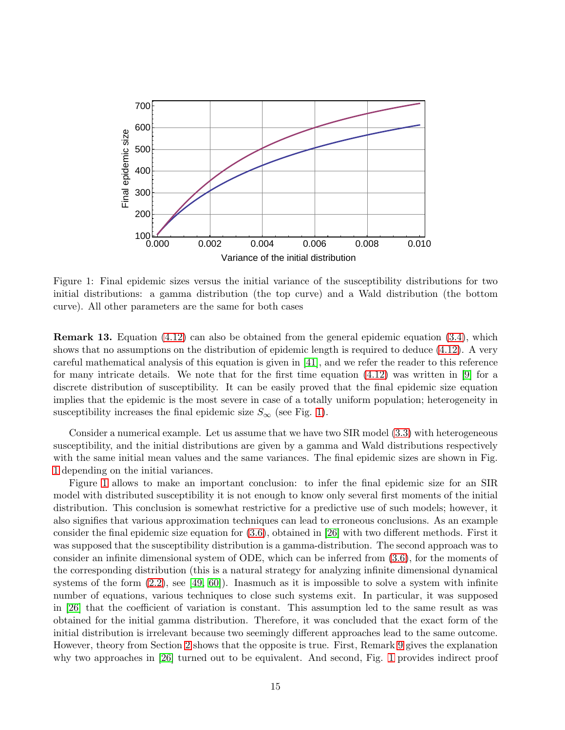

<span id="page-14-0"></span>Figure 1: Final epidemic sizes versus the initial variance of the susceptibility distributions for two initial distributions: a gamma distribution (the top curve) and a Wald distribution (the bottom curve). All other parameters are the same for both cases

Remark 13. Equation [\(4.12\)](#page-13-1) can also be obtained from the general epidemic equation [\(3.4\)](#page-7-3), which shows that no assumptions on the distribution of epidemic length is required to deduce [\(4.12\)](#page-13-1). A very careful mathematical analysis of this equation is given in [\[41\]](#page-24-14), and we refer the reader to this reference for many intricate details. We note that for the first time equation [\(4.12\)](#page-13-1) was written in [\[9\]](#page-22-7) for a discrete distribution of susceptibility. It can be easily proved that the final epidemic size equation implies that the epidemic is the most severe in case of a totally uniform population; heterogeneity in susceptibility increases the final epidemic size  $S_{\infty}$  (see Fig. [1\)](#page-14-0).

Consider a numerical example. Let us assume that we have two SIR model [\(3.3\)](#page-7-1) with heterogeneous susceptibility, and the initial distributions are given by a gamma and Wald distributions respectively with the same initial mean values and the same variances. The final epidemic sizes are shown in Fig. [1](#page-14-0) depending on the initial variances.

Figure [1](#page-14-0) allows to make an important conclusion: to infer the final epidemic size for an SIR model with distributed susceptibility it is not enough to know only several first moments of the initial distribution. This conclusion is somewhat restrictive for a predictive use of such models; however, it also signifies that various approximation techniques can lead to erroneous conclusions. As an example consider the final epidemic size equation for [\(3.6\)](#page-8-0), obtained in [\[26\]](#page-23-3) with two different methods. First it was supposed that the susceptibility distribution is a gamma-distribution. The second approach was to consider an infinite dimensional system of ODE, which can be inferred from [\(3.6\)](#page-8-0), for the moments of the corresponding distribution (this is a natural strategy for analyzing infinite dimensional dynamical systems of the form  $(2.2)$ , see [\[49,](#page-24-6) [60\]](#page-25-0)). Inasmuch as it is impossible to solve a system with infinite number of equations, various techniques to close such systems exit. In particular, it was supposed in [\[26\]](#page-23-3) that the coefficient of variation is constant. This assumption led to the same result as was obtained for the initial gamma distribution. Therefore, it was concluded that the exact form of the initial distribution is irrelevant because two seemingly different approaches lead to the same outcome. However, theory from Section [2](#page-3-0) shows that the opposite is true. First, Remark [9](#page-12-3) gives the explanation why two approaches in [\[26\]](#page-23-3) turned out to be equivalent. And second, Fig. [1](#page-14-0) provides indirect proof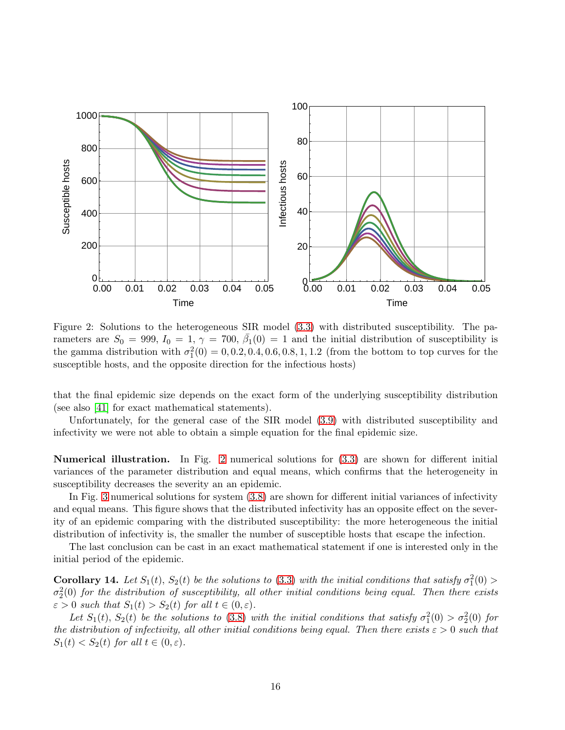

<span id="page-15-0"></span>Figure 2: Solutions to the heterogeneous SIR model [\(3.3\)](#page-7-1) with distributed susceptibility. The parameters are  $S_0 = 999, I_0 = 1, \gamma = 700, \bar{\beta}_1(0) = 1$  and the initial distribution of susceptibility is the gamma distribution with  $\sigma_1^2(0) = 0, 0.2, 0.4, 0.6, 0.8, 1, 1.2$  (from the bottom to top curves for the susceptible hosts, and the opposite direction for the infectious hosts)

that the final epidemic size depends on the exact form of the underlying susceptibility distribution (see also [\[41\]](#page-24-14) for exact mathematical statements).

Unfortunately, for the general case of the SIR model [\(3.9\)](#page-9-0) with distributed susceptibility and infectivity we were not able to obtain a simple equation for the final epidemic size.

Numerical illustration. In Fig. [2](#page-15-0) numerical solutions for [\(3.3\)](#page-7-1) are shown for different initial variances of the parameter distribution and equal means, which confirms that the heterogeneity in susceptibility decreases the severity an an epidemic.

In Fig. [3](#page-16-0) numerical solutions for system [\(3.8\)](#page-8-2) are shown for different initial variances of infectivity and equal means. This figure shows that the distributed infectivity has an opposite effect on the severity of an epidemic comparing with the distributed susceptibility: the more heterogeneous the initial distribution of infectivity is, the smaller the number of susceptible hosts that escape the infection.

The last conclusion can be cast in an exact mathematical statement if one is interested only in the initial period of the epidemic.

<span id="page-15-1"></span>**Corollary 14.** Let  $S_1(t)$ ,  $S_2(t)$  be the solutions to [\(3.3\)](#page-7-1) with the initial conditions that satisfy  $\sigma_1^2(0)$  >  $\sigma_2^2(0)$  for the distribution of susceptibility, all other initial conditions being equal. Then there exists  $\varepsilon > 0$  such that  $S_1(t) > S_2(t)$  for all  $t \in (0, \varepsilon)$ .

Let  $S_1(t)$ ,  $S_2(t)$  be the solutions to [\(3.8\)](#page-8-2) with the initial conditions that satisfy  $\sigma_1^2(0) > \sigma_2^2(0)$  for the distribution of infectivity, all other initial conditions being equal. Then there exists  $\varepsilon > 0$  such that  $S_1(t) < S_2(t)$  for all  $t \in (0, \varepsilon)$ .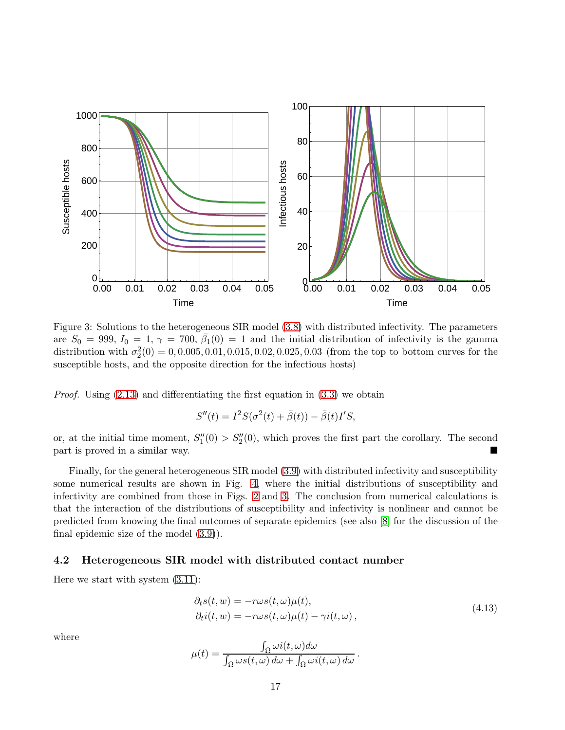

<span id="page-16-0"></span>Figure 3: Solutions to the heterogeneous SIR model [\(3.8\)](#page-8-2) with distributed infectivity. The parameters are  $S_0 = 999, I_0 = 1, \gamma = 700, \bar{\beta}_1(0) = 1$  and the initial distribution of infectivity is the gamma distribution with  $\sigma_2^2(0) = 0, 0.005, 0.01, 0.015, 0.02, 0.025, 0.03$  (from the top to bottom curves for the susceptible hosts, and the opposite direction for the infectious hosts)

*Proof.* Using  $(2.13)$  and differentiating the first equation in  $(3.3)$  we obtain

$$
S''(t) = I^2 S(\sigma^2(t) + \overline{\beta}(t)) - \overline{\beta}(t)I'S,
$$

or, at the initial time moment,  $S_1''$  $J_1''(0) > S_2''(0)$ , which proves the first part the corollary. The second part is proved in a similar way.

Finally, for the general heterogeneous SIR model [\(3.9\)](#page-9-0) with distributed infectivity and susceptibility some numerical results are shown in Fig. [4,](#page-17-0) where the initial distributions of susceptibility and infectivity are combined from those in Figs. [2](#page-15-0) and [3.](#page-16-0) The conclusion from numerical calculations is that the interaction of the distributions of susceptibility and infectivity is nonlinear and cannot be predicted from knowing the final outcomes of separate epidemics (see also [\[8\]](#page-22-13) for the discussion of the final epidemic size of the model [\(3.9\)](#page-9-0)).

#### 4.2 Heterogeneous SIR model with distributed contact number

<span id="page-16-1"></span>Here we start with system [\(3.11\)](#page-10-7):

$$
\partial_t s(t, w) = -r\omega s(t, \omega)\mu(t), \n\partial_t i(t, w) = -r\omega s(t, \omega)\mu(t) - \gamma i(t, \omega),
$$
\n(4.13)

where

$$
\mu(t) = \frac{\int_{\Omega} \omega i(t,\omega) d\omega}{\int_{\Omega} \omega s(t,\omega) d\omega + \int_{\Omega} \omega i(t,\omega) d\omega}.
$$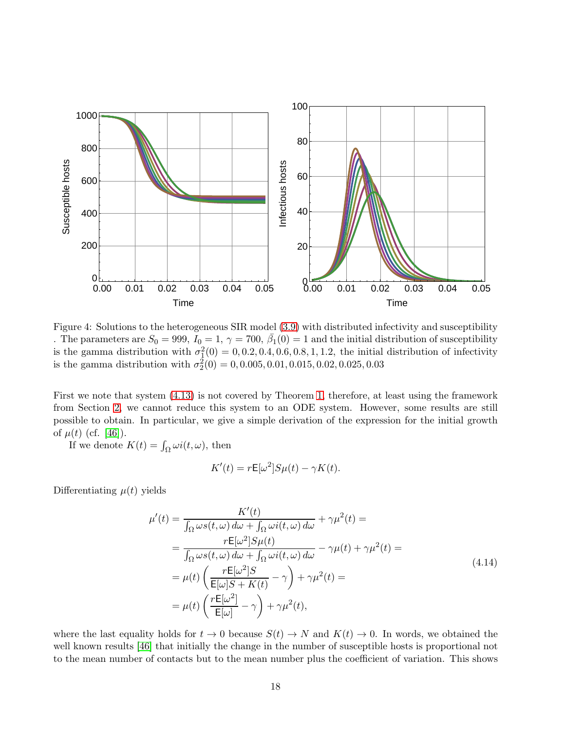

<span id="page-17-0"></span>Figure 4: Solutions to the heterogeneous SIR model [\(3.9\)](#page-9-0) with distributed infectivity and susceptibility . The parameters are  $S_0 = 999$ ,  $I_0 = 1$ ,  $\gamma = 700$ ,  $\overline{\beta}_1(0) = 1$  and the initial distribution of susceptibility is the gamma distribution with  $\sigma_1^2(0) = 0, 0.2, 0.4, 0.6, 0.8, 1, 1.2$ , the initial distribution of infectivity is the gamma distribution with  $\sigma_2^2(0) = 0, 0.005, 0.01, 0.015, 0.02, 0.025, 0.03$ 

First we note that system [\(4.13\)](#page-16-1) is not covered by Theorem [1,](#page-4-4) therefore, at least using the framework from Section [2,](#page-3-0) we cannot reduce this system to an ODE system. However, some results are still possible to obtain. In particular, we give a simple derivation of the expression for the initial growth of  $\mu(t)$  (cf. [\[46\]](#page-24-15)).

If we denote  $K(t) = \int_{\Omega} \omega i(t, \omega)$ , then

$$
K'(t) = r\mathsf{E}[\omega^2]S\mu(t) - \gamma K(t).
$$

<span id="page-17-1"></span>Differentiating  $\mu(t)$  yields

$$
\mu'(t) = \frac{K'(t)}{\int_{\Omega} \omega s(t,\omega) d\omega + \int_{\Omega} \omega i(t,\omega) d\omega} + \gamma \mu^2(t) =
$$
  
\n
$$
= \frac{r \mathbb{E}[\omega^2] S \mu(t)}{\int_{\Omega} \omega s(t,\omega) d\omega + \int_{\Omega} \omega i(t,\omega) d\omega} - \gamma \mu(t) + \gamma \mu^2(t) =
$$
  
\n
$$
= \mu(t) \left( \frac{r \mathbb{E}[\omega^2] S}{\mathbb{E}[\omega] S + K(t)} - \gamma \right) + \gamma \mu^2(t) =
$$
  
\n
$$
= \mu(t) \left( \frac{r \mathbb{E}[\omega^2]}{\mathbb{E}[\omega]} - \gamma \right) + \gamma \mu^2(t),
$$
\n(4.14)

where the last equality holds for  $t \to 0$  because  $S(t) \to N$  and  $K(t) \to 0$ . In words, we obtained the well known results [\[46\]](#page-24-15) that initially the change in the number of susceptible hosts is proportional not to the mean number of contacts but to the mean number plus the coefficient of variation. This shows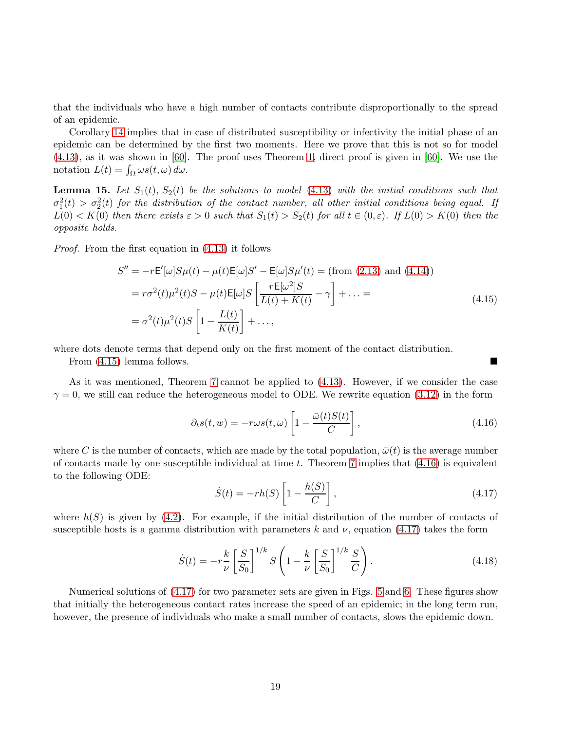that the individuals who have a high number of contacts contribute disproportionally to the spread of an epidemic.

Corollary [14](#page-15-1) implies that in case of distributed susceptibility or infectivity the initial phase of an epidemic can be determined by the first two moments. Here we prove that this is not so for model [\(4.13\)](#page-16-1), as it was shown in [\[60\]](#page-25-0). The proof uses Theorem [1,](#page-4-4) direct proof is given in [\[60\]](#page-25-0). We use the notation  $L(t) = \int_{\Omega} \omega s(t, \omega) d\omega$ .

**Lemma 15.** Let  $S_1(t)$ ,  $S_2(t)$  be the solutions to model [\(4.13\)](#page-16-1) with the initial conditions such that  $\sigma_1^2(t) > \sigma_2^2(t)$  for the distribution of the contact number, all other initial conditions being equal. If  $L(0) < K(0)$  then there exists  $\varepsilon > 0$  such that  $S_1(t) > S_2(t)$  for all  $t \in (0,\varepsilon)$ . If  $L(0) > K(0)$  then the opposite holds.

<span id="page-18-0"></span>Proof. From the first equation in [\(4.13\)](#page-16-1) it follows

$$
S'' = -r\mathbf{E}'[\omega]S\mu(t) - \mu(t)\mathbf{E}[\omega]S' - \mathbf{E}[\omega]S\mu'(t) = \text{(from (2.13) and (4.14))}
$$

$$
= r\sigma^2(t)\mu^2(t)S - \mu(t)\mathbf{E}[\omega]S\left[\frac{r\mathbf{E}[\omega^2]S}{L(t) + K(t)} - \gamma\right] + \dots =
$$

$$
= \sigma^2(t)\mu^2(t)S\left[1 - \frac{L(t)}{K(t)}\right] + \dots,
$$
(4.15)

where dots denote terms that depend only on the first moment of the contact distribution.

From [\(4.15\)](#page-18-0) lemma follows.

As it was mentioned, Theorem [7](#page-10-6) cannot be applied to [\(4.13\)](#page-16-1). However, if we consider the case  $\gamma = 0$ , we still can reduce the heterogeneous model to ODE. We rewrite equation [\(3.12\)](#page-10-1) in the form

<span id="page-18-1"></span>
$$
\partial_t s(t, w) = -r\omega s(t, \omega) \left[ 1 - \frac{\bar{\omega}(t)S(t)}{C} \right],
$$
\n(4.16)

where C is the number of contacts, which are made by the total population,  $\bar{\omega}(t)$  is the average number of contacts made by one susceptible individual at time t. Theorem [7](#page-10-6) implies that  $(4.16)$  is equivalent to the following ODE:

<span id="page-18-2"></span>
$$
\dot{S}(t) = -rh(S)\left[1 - \frac{h(S)}{C}\right],\tag{4.17}
$$

where  $h(S)$  is given by [\(4.2\)](#page-10-4). For example, if the initial distribution of the number of contacts of susceptible hosts is a gamma distribution with parameters k and  $\nu$ , equation [\(4.17\)](#page-18-2) takes the form

<span id="page-18-3"></span>
$$
\dot{S}(t) = -r\frac{k}{\nu} \left[ \frac{S}{S_0} \right]^{1/k} S \left( 1 - \frac{k}{\nu} \left[ \frac{S}{S_0} \right]^{1/k} \frac{S}{C} \right). \tag{4.18}
$$

Numerical solutions of [\(4.17\)](#page-18-2) for two parameter sets are given in Figs. [5](#page-19-0) and [6.](#page-19-1) These figures show that initially the heterogeneous contact rates increase the speed of an epidemic; in the long term run, however, the presence of individuals who make a small number of contacts, slows the epidemic down.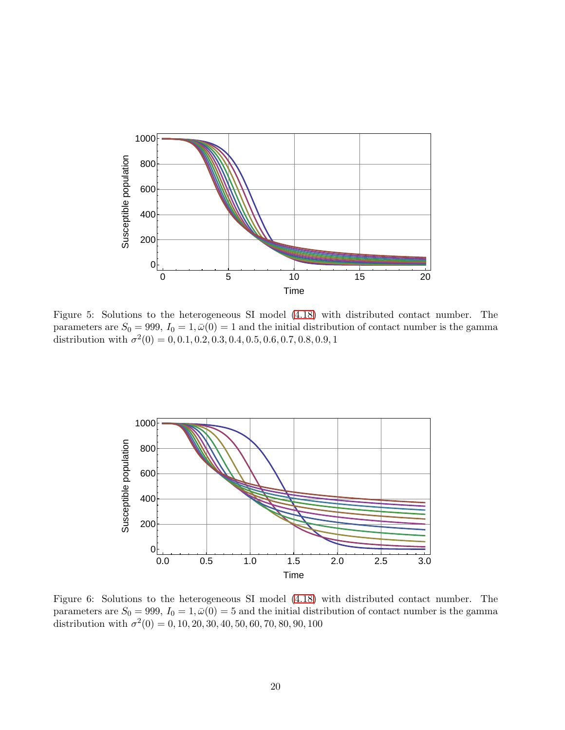

<span id="page-19-0"></span>Figure 5: Solutions to the heterogeneous SI model [\(4.18\)](#page-18-3) with distributed contact number. The parameters are  $S_0 = 999$ ,  $I_0 = 1, \bar{\omega}(0) = 1$  and the initial distribution of contact number is the gamma distribution with  $\sigma^2(0) = 0, 0.1, 0.2, 0.3, 0.4, 0.5, 0.6, 0.7, 0.8, 0.9, 1$ 



<span id="page-19-1"></span>Figure 6: Solutions to the heterogeneous SI model [\(4.18\)](#page-18-3) with distributed contact number. The parameters are  $S_0 = 999$ ,  $I_0 = 1, \bar{\omega}(0) = 5$  and the initial distribution of contact number is the gamma distribution with  $\sigma^2(0) = 0, 10, 20, 30, 40, 50, 60, 70, 80, 90, 100$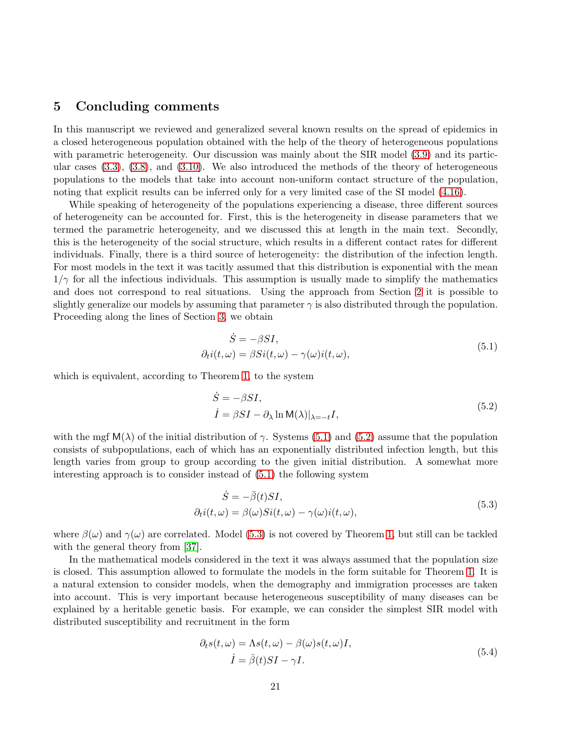## <span id="page-20-0"></span>5 Concluding comments

In this manuscript we reviewed and generalized several known results on the spread of epidemics in a closed heterogeneous population obtained with the help of the theory of heterogeneous populations with parametric heterogeneity. Our discussion was mainly about the SIR model  $(3.9)$  and its particular cases  $(3.3)$ ,  $(3.8)$ , and  $(3.10)$ . We also introduced the methods of the theory of heterogeneous populations to the models that take into account non-uniform contact structure of the population, noting that explicit results can be inferred only for a very limited case of the SI model [\(4.16\)](#page-18-1).

While speaking of heterogeneity of the populations experiencing a disease, three different sources of heterogeneity can be accounted for. First, this is the heterogeneity in disease parameters that we termed the parametric heterogeneity, and we discussed this at length in the main text. Secondly, this is the heterogeneity of the social structure, which results in a different contact rates for different individuals. Finally, there is a third source of heterogeneity: the distribution of the infection length. For most models in the text it was tacitly assumed that this distribution is exponential with the mean  $1/\gamma$  for all the infectious individuals. This assumption is usually made to simplify the mathematics and does not correspond to real situations. Using the approach from Section [2](#page-3-0) it is possible to slightly generalize our models by assuming that parameter  $\gamma$  is also distributed through the population. Proceeding along the lines of Section [3,](#page-6-0) we obtain

$$
\dot{S} = -\beta SI,\n\partial_t i(t,\omega) = \beta Si(t,\omega) - \gamma(\omega)i(t,\omega),
$$
\n(5.1)

<span id="page-20-2"></span><span id="page-20-1"></span>which is equivalent, according to Theorem [1,](#page-4-4) to the system

$$
\dot{S} = -\beta SI,
$$
  
\n
$$
\dot{I} = \beta SI - \partial_{\lambda} \ln M(\lambda)|_{\lambda = -t} I,
$$
\n(5.2)

with the mgf  $M(\lambda)$  of the initial distribution of  $\gamma$ . Systems [\(5.1\)](#page-20-1) and [\(5.2\)](#page-20-2) assume that the population consists of subpopulations, each of which has an exponentially distributed infection length, but this length varies from group to group according to the given initial distribution. A somewhat more interesting approach is to consider instead of [\(5.1\)](#page-20-1) the following system

$$
\dot{S} = -\bar{\beta}(t)SI,\n\partial_t i(t,\omega) = \beta(\omega)Si(t,\omega) - \gamma(\omega)i(t,\omega),
$$
\n(5.3)

<span id="page-20-3"></span>where  $\beta(\omega)$  and  $\gamma(\omega)$  are correlated. Model [\(5.3\)](#page-20-3) is not covered by Theorem [1,](#page-4-4) but still can be tackled with the general theory from [\[37\]](#page-24-0).

<span id="page-20-4"></span>In the mathematical models considered in the text it was always assumed that the population size is closed. This assumption allowed to formulate the models in the form suitable for Theorem [1.](#page-4-4) It is a natural extension to consider models, when the demography and immigration processes are taken into account. This is very important because heterogeneous susceptibility of many diseases can be explained by a heritable genetic basis. For example, we can consider the simplest SIR model with distributed susceptibility and recruitment in the form

$$
\partial_t s(t,\omega) = \Lambda s(t,\omega) - \beta(\omega)s(t,\omega)I,
$$
  
\n
$$
\dot{I} = \bar{\beta}(t)SI - \gamma I.
$$
\n(5.4)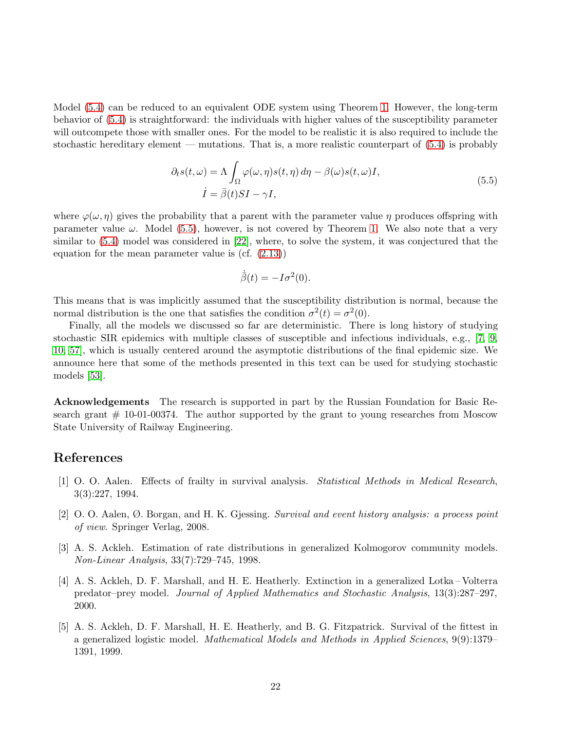Model [\(5.4\)](#page-20-4) can be reduced to an equivalent ODE system using Theorem [1.](#page-4-4) However, the long-term behavior of [\(5.4\)](#page-20-4) is straightforward: the individuals with higher values of the susceptibility parameter will outcompete those with smaller ones. For the model to be realistic it is also required to include the stochastic hereditary element — mutations. That is, a more realistic counterpart of  $(5.4)$  is probably

$$
\partial_t s(t,\omega) = \Lambda \int_{\Omega} \varphi(\omega,\eta) s(t,\eta) d\eta - \beta(\omega) s(t,\omega) I,
$$
  
\n
$$
\dot{I} = \bar{\beta}(t) S I - \gamma I,
$$
\n(5.5)

<span id="page-21-5"></span>where  $\varphi(\omega, \eta)$  gives the probability that a parent with the parameter value  $\eta$  produces offspring with parameter value  $\omega$ . Model [\(5.5\)](#page-21-5), however, is not covered by Theorem [1.](#page-4-4) We also note that a very similar to [\(5.4\)](#page-20-4) model was considered in [\[22\]](#page-23-13), where, to solve the system, it was conjectured that the equation for the mean parameter value is (cf. [\(2.13\)](#page-5-3))

$$
\dot{\bar{\beta}}(t) = -I\sigma^2(0).
$$

This means that is was implicitly assumed that the susceptibility distribution is normal, because the normal distribution is the one that satisfies the condition  $\sigma^2(t) = \sigma^2(0)$ .

Finally, all the models we discussed so far are deterministic. There is long history of studying stochastic SIR epidemics with multiple classes of susceptible and infectious individuals, e.g., [\[7,](#page-22-6) [9,](#page-22-7) [10,](#page-22-14) [57\]](#page-25-4), which is usually centered around the asymptotic distributions of the final epidemic size. We announce here that some of the methods presented in this text can be used for studying stochastic models [\[53\]](#page-25-11).

Acknowledgements The research is supported in part by the Russian Foundation for Basic Research grant  $# 10-01-00374$ . The author supported by the grant to young researches from Moscow State University of Railway Engineering.

## <span id="page-21-3"></span>References

- [1] O. O. Aalen. Effects of frailty in survival analysis. Statistical Methods in Medical Research, 3(3):227, 1994.
- <span id="page-21-4"></span><span id="page-21-0"></span>[2] O. O. Aalen, Ø. Borgan, and H. K. Gjessing. Survival and event history analysis: a process point of view. Springer Verlag, 2008.
- [3] A. S. Ackleh. Estimation of rate distributions in generalized Kolmogorov community models. Non-Linear Analysis, 33(7):729–745, 1998.
- <span id="page-21-2"></span>[4] A. S. Ackleh, D. F. Marshall, and H. E. Heatherly. Extinction in a generalized Lotka – Volterra predator–prey model. Journal of Applied Mathematics and Stochastic Analysis, 13(3):287–297, 2000.
- <span id="page-21-1"></span>[5] A. S. Ackleh, D. F. Marshall, H. E. Heatherly, and B. G. Fitzpatrick. Survival of the fittest in a generalized logistic model. Mathematical Models and Methods in Applied Sciences, 9(9):1379– 1391, 1999.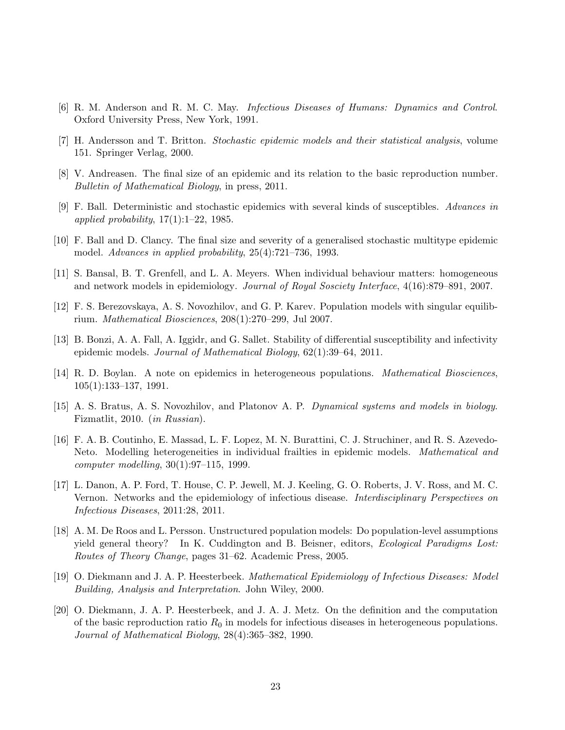- <span id="page-22-6"></span><span id="page-22-0"></span>[6] R. M. Anderson and R. M. C. May. Infectious Diseases of Humans: Dynamics and Control. Oxford University Press, New York, 1991.
- <span id="page-22-13"></span>[7] H. Andersson and T. Britton. Stochastic epidemic models and their statistical analysis, volume 151. Springer Verlag, 2000.
- <span id="page-22-7"></span>[8] V. Andreasen. The final size of an epidemic and its relation to the basic reproduction number. Bulletin of Mathematical Biology, in press, 2011.
- <span id="page-22-14"></span>[9] F. Ball. Deterministic and stochastic epidemics with several kinds of susceptibles. Advances in applied probability,  $17(1):1-22$ , 1985.
- <span id="page-22-9"></span>[10] F. Ball and D. Clancy. The final size and severity of a generalised stochastic multitype epidemic model. Advances in applied probability, 25(4):721–736, 1993.
- <span id="page-22-12"></span>[11] S. Bansal, B. T. Grenfell, and L. A. Meyers. When individual behaviour matters: homogeneous and network models in epidemiology. Journal of Royal Sosciety Interface, 4(16):879–891, 2007.
- <span id="page-22-8"></span>[12] F. S. Berezovskaya, A. S. Novozhilov, and G. P. Karev. Population models with singular equilibrium. Mathematical Biosciences, 208(1):270–299, Jul 2007.
- [13] B. Bonzi, A. A. Fall, A. Iggidr, and G. Sallet. Stability of differential susceptibility and infectivity epidemic models. Journal of Mathematical Biology, 62(1):39–64, 2011.
- <span id="page-22-1"></span>[14] R. D. Boylan. A note on epidemics in heterogeneous populations. Mathematical Biosciences, 105(1):133–137, 1991.
- <span id="page-22-2"></span>[15] A. S. Bratus, A. S. Novozhilov, and Platonov A. P. Dynamical systems and models in biology. Fizmatlit, 2010. (in Russian).
- <span id="page-22-3"></span>[16] F. A. B. Coutinho, E. Massad, L. F. Lopez, M. N. Burattini, C. J. Struchiner, and R. S. Azevedo-Neto. Modelling heterogeneities in individual frailties in epidemic models. Mathematical and computer modelling, 30(1):97–115, 1999.
- <span id="page-22-10"></span>[17] L. Danon, A. P. Ford, T. House, C. P. Jewell, M. J. Keeling, G. O. Roberts, J. V. Ross, and M. C. Vernon. Networks and the epidemiology of infectious disease. Interdisciplinary Perspectives on Infectious Diseases, 2011:28, 2011.
- <span id="page-22-11"></span>[18] A. M. De Roos and L. Persson. Unstructured population models: Do population-level assumptions yield general theory? In K. Cuddington and B. Beisner, editors, Ecological Paradigms Lost: Routes of Theory Change, pages 31–62. Academic Press, 2005.
- <span id="page-22-4"></span>[19] O. Diekmann and J. A. P. Heesterbeek. Mathematical Epidemiology of Infectious Diseases: Model Building, Analysis and Interpretation. John Wiley, 2000.
- <span id="page-22-5"></span>[20] O. Diekmann, J. A. P. Heesterbeek, and J. A. J. Metz. On the definition and the computation of the basic reproduction ratio  $R_0$  in models for infectious diseases in heterogeneous populations. Journal of Mathematical Biology, 28(4):365–382, 1990.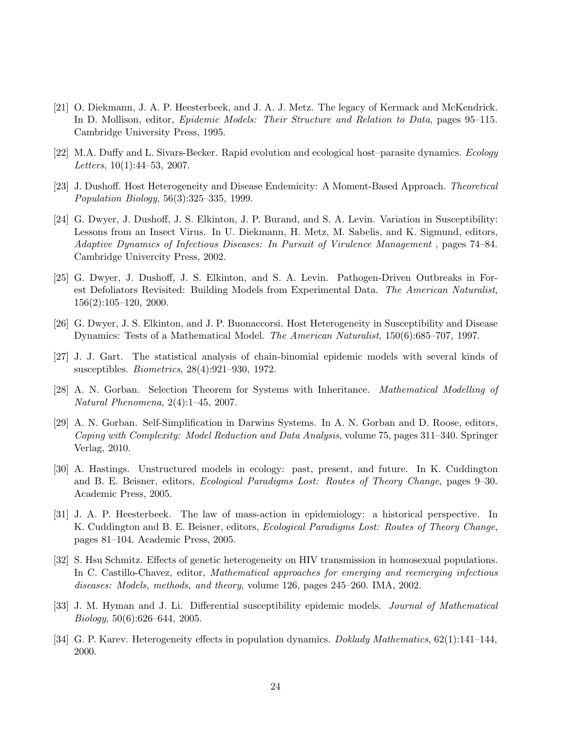- <span id="page-23-7"></span>[21] O. Diekmann, J. A. P. Heesterbeek, and J. A. J. Metz. The legacy of Kermack and McKendrick. In D. Mollison, editor, Epidemic Models: Their Structure and Relation to Data, pages 95–115. Cambridge University Press, 1995.
- <span id="page-23-13"></span><span id="page-23-0"></span>[22] M.A. Duffy and L. Sivars-Becker. Rapid evolution and ecological host–parasite dynamics. Ecology Letters,  $10(1):44-53$ , 2007.
- <span id="page-23-1"></span>[23] J. Dushoff. Host Heterogeneity and Disease Endemicity: A Moment-Based Approach. Theoretical Population Biology, 56(3):325–335, 1999.
- [24] G. Dwyer, J. Dushoff, J. S. Elkinton, J. P. Burand, and S. A. Levin. Variation in Susceptibility: Lessons from an Insect Virus. In U. Diekmann, H. Metz, M. Sabelis, and K. Sigmund, editors, Adaptive Dynamics of Infectious Diseases: In Pursuit of Virulence Management , pages 74–84. Cambridge Univercity Press, 2002.
- <span id="page-23-2"></span>[25] G. Dwyer, J. Dushoff, J. S. Elkinton, and S. A. Levin. Pathogen-Driven Outbreaks in Forest Defoliators Revisited: Building Models from Experimental Data. The American Naturalist, 156(2):105–120, 2000.
- <span id="page-23-3"></span>[26] G. Dwyer, J. S. Elkinton, and J. P. Buonaccorsi. Host Heterogeneity in Susceptibility and Disease Dynamics: Tests of a Mathematical Model. The American Naturalist, 150(6):685–707, 1997.
- <span id="page-23-9"></span>[27] J. J. Gart. The statistical analysis of chain-binomial epidemic models with several kinds of susceptibles. Biometrics, 28(4):921–930, 1972.
- <span id="page-23-5"></span><span id="page-23-4"></span>[28] A. N. Gorban. Selection Theorem for Systems with Inheritance. Mathematical Modelling of Natural Phenomena, 2(4):1–45, 2007.
- [29] A. N. Gorban. Self-Simplification in Darwins Systems. In A. N. Gorban and D. Roose, editors, Coping with Complexity: Model Reduction and Data Analysis, volume 75, pages 311–340. Springer Verlag, 2010.
- <span id="page-23-12"></span>[30] A. Hastings. Unstructured models in ecology: past, present, and future. In K. Cuddington and B. E. Beisner, editors, Ecological Paradigms Lost: Routes of Theory Change, pages 9–30. Academic Press, 2005.
- <span id="page-23-8"></span>[31] J. A. P. Heesterbeek. The law of mass-action in epidemiology: a historical perspective. In K. Cuddington and B. E. Beisner, editors, Ecological Paradigms Lost: Routes of Theory Change, pages 81–104. Academic Press, 2005.
- <span id="page-23-10"></span>[32] S. Hsu Schmitz. Effects of genetic heterogeneity on HIV transmission in homosexual populations. In C. Castillo-Chavez, editor, Mathematical approaches for emerging and reemerging infectious diseases: Models, methods, and theory, volume 126, pages 245–260. IMA, 2002.
- <span id="page-23-11"></span>[33] J. M. Hyman and J. Li. Differential susceptibility epidemic models. Journal of Mathematical Biology, 50(6):626–644, 2005.
- <span id="page-23-6"></span>[34] G. P. Karev. Heterogeneity effects in population dynamics. Doklady Mathematics, 62(1):141–144, 2000.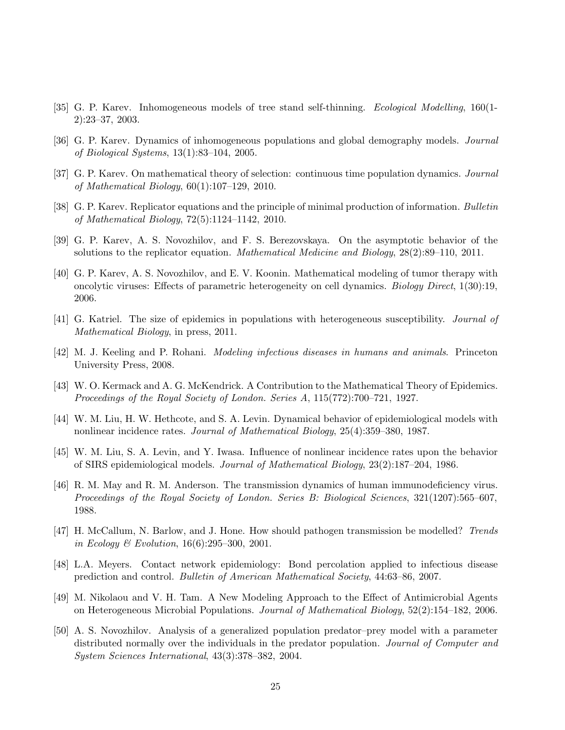- <span id="page-24-2"></span><span id="page-24-1"></span>[35] G. P. Karev. Inhomogeneous models of tree stand self-thinning. Ecological Modelling, 160(1- 2):23–37, 2003.
- <span id="page-24-0"></span>[36] G. P. Karev. Dynamics of inhomogeneous populations and global demography models. Journal of Biological Systems, 13(1):83–104, 2005.
- <span id="page-24-7"></span>[37] G. P. Karev. On mathematical theory of selection: continuous time population dynamics. Journal of Mathematical Biology, 60(1):107–129, 2010.
- <span id="page-24-5"></span>[38] G. P. Karev. Replicator equations and the principle of minimal production of information. Bulletin of Mathematical Biology, 72(5):1124–1142, 2010.
- <span id="page-24-4"></span>[39] G. P. Karev, A. S. Novozhilov, and F. S. Berezovskaya. On the asymptotic behavior of the solutions to the replicator equation. Mathematical Medicine and Biology, 28(2):89–110, 2011.
- [40] G. P. Karev, A. S. Novozhilov, and E. V. Koonin. Mathematical modeling of tumor therapy with oncolytic viruses: Effects of parametric heterogeneity on cell dynamics. Biology Direct, 1(30):19, 2006.
- <span id="page-24-14"></span><span id="page-24-10"></span>[41] G. Katriel. The size of epidemics in populations with heterogeneous susceptibility. Journal of Mathematical Biology, in press, 2011.
- <span id="page-24-8"></span>[42] M. J. Keeling and P. Rohani. Modeling infectious diseases in humans and animals. Princeton University Press, 2008.
- <span id="page-24-12"></span>[43] W. O. Kermack and A. G. McKendrick. A Contribution to the Mathematical Theory of Epidemics. Proceedings of the Royal Society of London. Series A, 115(772):700–721, 1927.
- [44] W. M. Liu, H. W. Hethcote, and S. A. Levin. Dynamical behavior of epidemiological models with nonlinear incidence rates. Journal of Mathematical Biology, 25(4):359–380, 1987.
- <span id="page-24-15"></span><span id="page-24-13"></span>[45] W. M. Liu, S. A. Levin, and Y. Iwasa. Influence of nonlinear incidence rates upon the behavior of SIRS epidemiological models. Journal of Mathematical Biology, 23(2):187–204, 1986.
- [46] R. M. May and R. M. Anderson. The transmission dynamics of human immunodeficiency virus. Proceedings of the Royal Society of London. Series B: Biological Sciences, 321(1207):565–607, 1988.
- <span id="page-24-9"></span>[47] H. McCallum, N. Barlow, and J. Hone. How should pathogen transmission be modelled? Trends in Ecology & Evolution, 16(6):295–300, 2001.
- <span id="page-24-11"></span><span id="page-24-6"></span>[48] L.A. Meyers. Contact network epidemiology: Bond percolation applied to infectious disease prediction and control. Bulletin of American Mathematical Society, 44:63–86, 2007.
- [49] M. Nikolaou and V. H. Tam. A New Modeling Approach to the Effect of Antimicrobial Agents on Heterogeneous Microbial Populations. Journal of Mathematical Biology, 52(2):154–182, 2006.
- <span id="page-24-3"></span>[50] A. S. Novozhilov. Analysis of a generalized population predator–prey model with a parameter distributed normally over the individuals in the predator population. Journal of Computer and System Sciences International, 43(3):378–382, 2004.